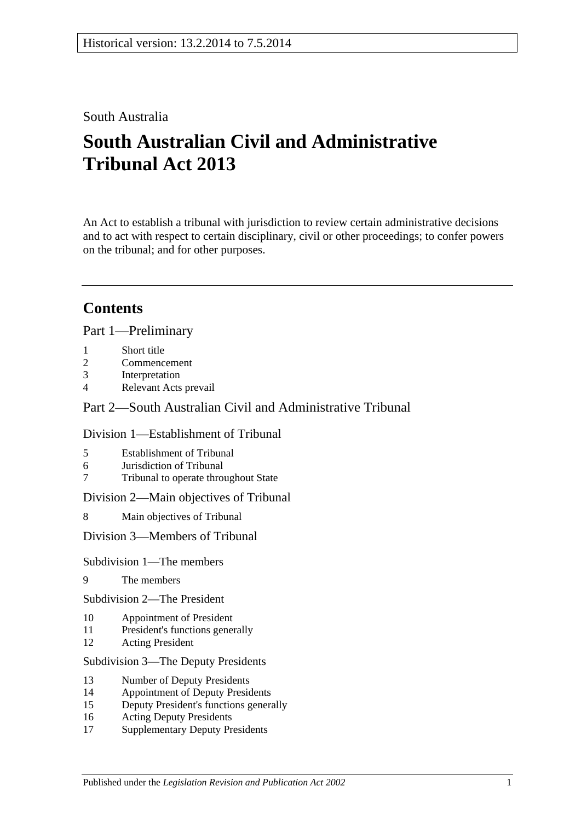# South Australia

# **South Australian Civil and Administrative Tribunal Act 2013**

An Act to establish a tribunal with jurisdiction to review certain administrative decisions and to act with respect to certain disciplinary, civil or other proceedings; to confer powers on the tribunal; and for other purposes.

# **Contents**

Part [1—Preliminary](#page-3-0)

- 1 [Short title](#page-3-1)
- 2 [Commencement](#page-3-2)
- 3 [Interpretation](#page-4-0)
- 4 [Relevant Acts prevail](#page-5-0)

## Part [2—South Australian Civil and Administrative Tribunal](#page-5-1)

### Division [1—Establishment of Tribunal](#page-5-2)

- 5 [Establishment of Tribunal](#page-5-3)
- 6 [Jurisdiction of Tribunal](#page-6-0)
- 7 [Tribunal to operate throughout State](#page-6-1)

Division [2—Main objectives of Tribunal](#page-6-2)

8 [Main objectives of Tribunal](#page-6-3)

Division [3—Members of Tribunal](#page-7-0)

#### Subdivision [1—The members](#page-7-1)

9 [The members](#page-7-2)

Subdivision [2—The President](#page-7-3)

- 10 [Appointment of President](#page-7-4)
- 11 [President's functions generally](#page-8-0)
- 12 [Acting President](#page-9-0)

#### Subdivision [3—The Deputy Presidents](#page-9-1)

- 13 [Number of Deputy Presidents](#page-9-2)
- 14 [Appointment of Deputy Presidents](#page-9-3)
- 15 [Deputy President's functions generally](#page-11-0)
- 16 [Acting Deputy Presidents](#page-11-1)
- 17 [Supplementary Deputy Presidents](#page-12-0)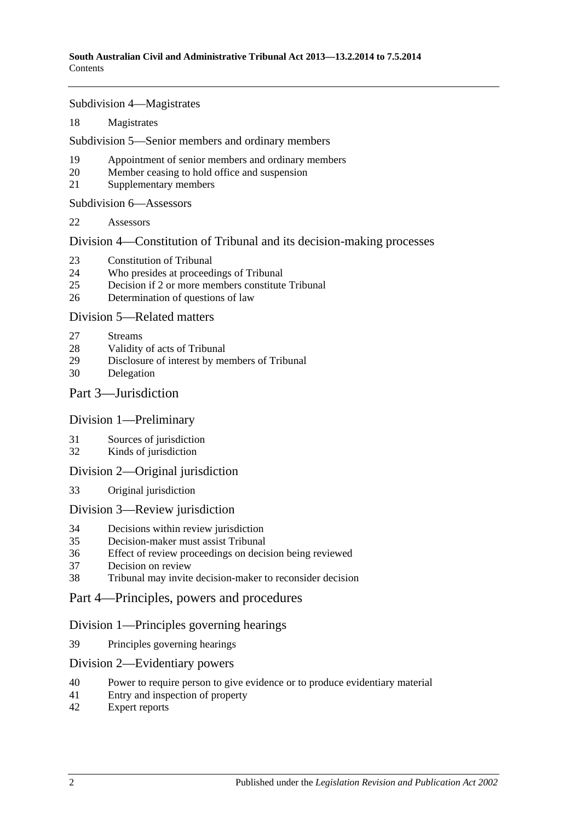Subdivision [4—Magistrates](#page-13-0)

[Magistrates](#page-13-1)

Subdivision [5—Senior members and ordinary members](#page-14-0)

- [Appointment of senior members and ordinary members](#page-14-1)
- [Member ceasing to hold office and suspension](#page-15-0)
- [Supplementary members](#page-16-0)

Subdivision [6—Assessors](#page-16-1)

[Assessors](#page-16-2)

Division [4—Constitution of Tribunal and its decision-making processes](#page-17-0)

- [Constitution of Tribunal](#page-17-1)
- [Who presides at proceedings of Tribunal](#page-18-0)
- [Decision if 2 or more members constitute Tribunal](#page-19-0)
- [Determination of questions of law](#page-19-1)

Division [5—Related matters](#page-19-2)

- [Streams](#page-19-3)
- [Validity of acts of Tribunal](#page-19-4)
- [Disclosure of interest by members of Tribunal](#page-19-5)
- [Delegation](#page-20-0)

## Part [3—Jurisdiction](#page-20-1)

#### Division [1—Preliminary](#page-20-2)

- [Sources of jurisdiction](#page-20-3)
- [Kinds of jurisdiction](#page-20-4)

#### Division [2—Original jurisdiction](#page-21-0)

[Original jurisdiction](#page-21-1)

#### Division [3—Review jurisdiction](#page-21-2)

- [Decisions within review jurisdiction](#page-21-3)<br>35 Decision-maker must assist Tribunal
- [Decision-maker must assist Tribunal](#page-22-0)
- [Effect of review proceedings on decision being reviewed](#page-22-1)
- [Decision on review](#page-23-0)
- [Tribunal may invite decision-maker to reconsider decision](#page-23-1)
- Part [4—Principles, powers and procedures](#page-24-0)

## Division [1—Principles governing hearings](#page-24-1)

[Principles governing hearings](#page-24-2)

#### Division [2—Evidentiary powers](#page-24-3)

- [Power to require person to give evidence or to produce evidentiary material](#page-24-4)
- [Entry and inspection of property](#page-25-0)
- [Expert reports](#page-26-0)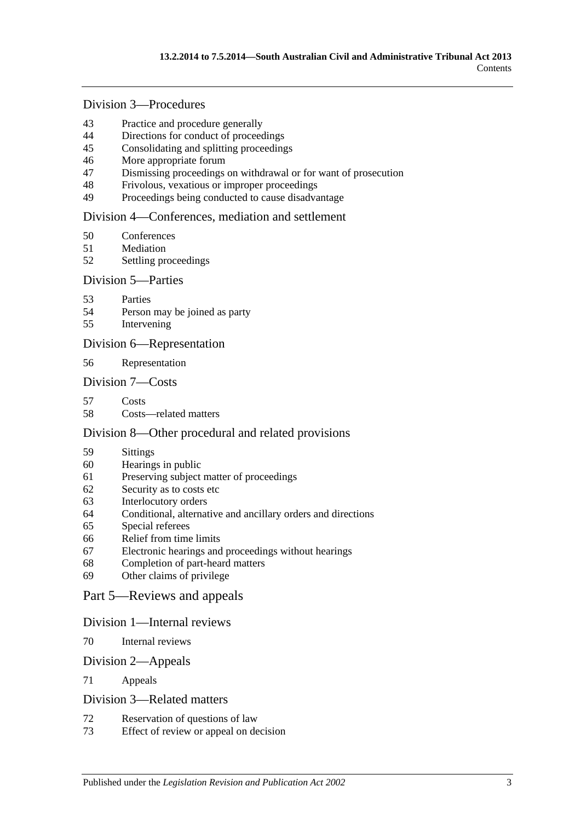# Division [3—Procedures](#page-26-1)

- [Practice and procedure generally](#page-26-2)<br>44 Directions for conduct of proceed
- [Directions for conduct of proceedings](#page-27-0)
- [Consolidating and splitting proceedings](#page-27-1)
- [More appropriate forum](#page-27-2)
- [Dismissing proceedings on withdrawal or for want of prosecution](#page-27-3)
- [Frivolous, vexatious or improper proceedings](#page-28-0)
- [Proceedings being conducted to cause disadvantage](#page-28-1)

#### Division [4—Conferences, mediation and settlement](#page-29-0)

- [Conferences](#page-29-1)
- [Mediation](#page-30-0)
- [Settling proceedings](#page-31-0)

#### Division [5—Parties](#page-31-1)

- [Parties](#page-31-2)
- [Person may be joined as party](#page-32-0)
- [Intervening](#page-32-1)

#### Division [6—Representation](#page-32-2)

[Representation](#page-32-3)

#### Division [7—Costs](#page-33-0)

- [Costs](#page-33-1)
- [Costs—related matters](#page-33-2)

#### Division [8—Other procedural and related provisions](#page-34-0)

- [Sittings](#page-34-1)
- [Hearings in public](#page-34-2)
- [Preserving subject matter of proceedings](#page-35-0)
- [Security as to costs etc](#page-35-1)
- [Interlocutory orders](#page-36-0)
- [Conditional, alternative and ancillary orders and directions](#page-36-1)
- [Special referees](#page-36-2)
- [Relief from time limits](#page-36-3)
- [Electronic hearings and proceedings without hearings](#page-37-0)
- [Completion of part-heard matters](#page-37-1)
- [Other claims of privilege](#page-37-2)

#### Part [5—Reviews and appeals](#page-37-3)

#### Division [1—Internal reviews](#page-37-4)

[Internal reviews](#page-37-5)

#### Division [2—Appeals](#page-38-0)

[Appeals](#page-38-1)

#### Division [3—Related matters](#page-39-0)

- [Reservation of questions of law](#page-39-1)
- [Effect of review or appeal on decision](#page-39-2)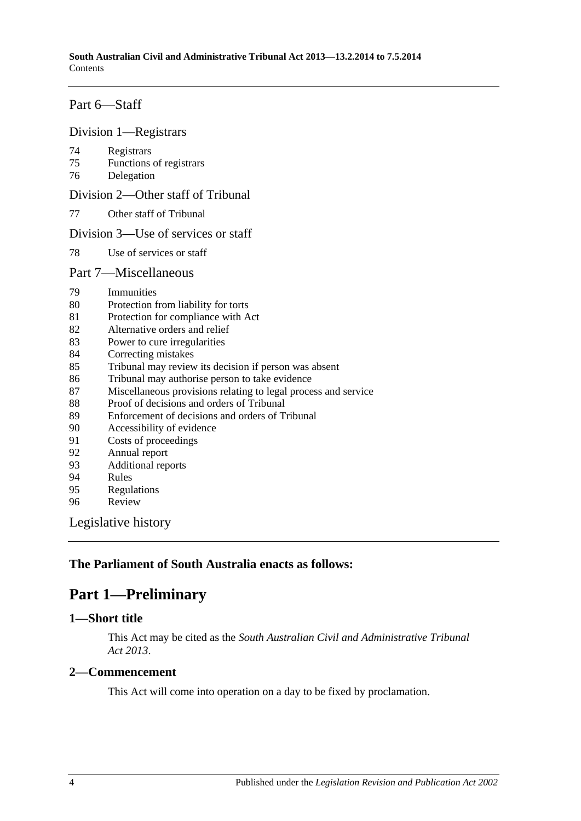# Part [6—Staff](#page-39-3)

#### Division [1—Registrars](#page-39-4)

- [Registrars](#page-39-5)
- [Functions of registrars](#page-40-0)
- [Delegation](#page-40-1)

Division [2—Other staff of Tribunal](#page-41-0)

[Other staff of Tribunal](#page-41-1)

### Division [3—Use of services or staff](#page-41-2)

[Use of services or staff](#page-41-3)

### Part [7—Miscellaneous](#page-41-4)

- [Immunities](#page-41-5)
- [Protection from liability for torts](#page-41-6)
- [Protection for compliance with Act](#page-42-0)
- [Alternative orders and relief](#page-42-1)
- [Power to cure irregularities](#page-42-2)
- [Correcting mistakes](#page-42-3)
- [Tribunal may review its decision if person was absent](#page-43-0)
- [Tribunal may authorise person to take evidence](#page-43-1)
- [Miscellaneous provisions relating to legal process and service](#page-44-0)
- [Proof of decisions and orders of Tribunal](#page-44-1)
- [Enforcement of decisions and orders of Tribunal](#page-44-2)
- [Accessibility of evidence](#page-44-3)
- [Costs of proceedings](#page-45-0)
- [Annual report](#page-45-1)
- [Additional reports](#page-45-2)
- [Rules](#page-46-0)
- [Regulations](#page-46-1)
- [Review](#page-47-0)

[Legislative history](#page-48-0)

# <span id="page-3-0"></span>**The Parliament of South Australia enacts as follows:**

# **Part 1—Preliminary**

## <span id="page-3-1"></span>**1—Short title**

This Act may be cited as the *South Australian Civil and Administrative Tribunal Act 2013*.

## <span id="page-3-2"></span>**2—Commencement**

This Act will come into operation on a day to be fixed by proclamation.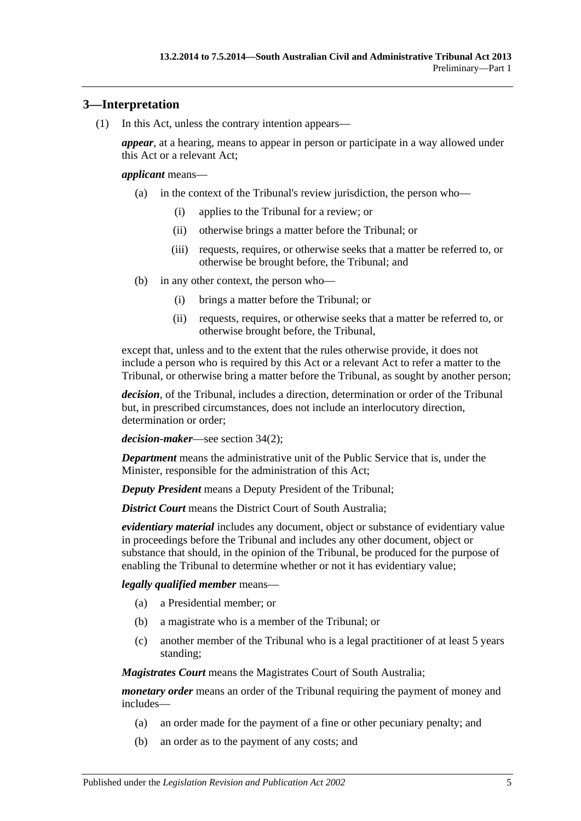# <span id="page-4-0"></span>**3—Interpretation**

(1) In this Act, unless the contrary intention appears—

*appear*, at a hearing, means to appear in person or participate in a way allowed under this Act or a relevant Act;

#### *applicant* means—

- (a) in the context of the Tribunal's review jurisdiction, the person who—
	- (i) applies to the Tribunal for a review; or
	- (ii) otherwise brings a matter before the Tribunal; or
	- (iii) requests, requires, or otherwise seeks that a matter be referred to, or otherwise be brought before, the Tribunal; and
- (b) in any other context, the person who—
	- (i) brings a matter before the Tribunal; or
	- (ii) requests, requires, or otherwise seeks that a matter be referred to, or otherwise brought before, the Tribunal,

except that, unless and to the extent that the rules otherwise provide, it does not include a person who is required by this Act or a relevant Act to refer a matter to the Tribunal, or otherwise bring a matter before the Tribunal, as sought by another person;

*decision*, of the Tribunal, includes a direction, determination or order of the Tribunal but, in prescribed circumstances, does not include an interlocutory direction, determination or order;

*decision-maker*—see [section](#page-21-4) 34(2);

*Department* means the administrative unit of the Public Service that is, under the Minister, responsible for the administration of this Act;

*Deputy President* means a Deputy President of the Tribunal;

*District Court* means the District Court of South Australia:

*evidentiary material* includes any document, object or substance of evidentiary value in proceedings before the Tribunal and includes any other document, object or substance that should, in the opinion of the Tribunal, be produced for the purpose of enabling the Tribunal to determine whether or not it has evidentiary value;

#### *legally qualified member* means—

- (a) a Presidential member; or
- (b) a magistrate who is a member of the Tribunal; or
- (c) another member of the Tribunal who is a legal practitioner of at least 5 years standing;

*Magistrates Court* means the Magistrates Court of South Australia;

*monetary order* means an order of the Tribunal requiring the payment of money and includes—

- (a) an order made for the payment of a fine or other pecuniary penalty; and
- (b) an order as to the payment of any costs; and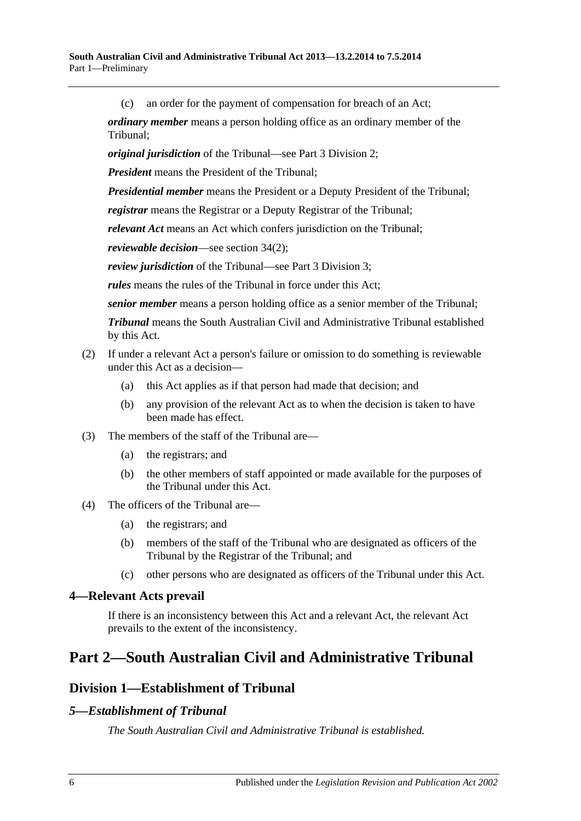(c) an order for the payment of compensation for breach of an Act;

*ordinary member* means a person holding office as an ordinary member of the Tribunal;

*original jurisdiction* of the Tribunal—see Part [3 Division](#page-21-0) 2;

*President* means the President of the Tribunal;

*Presidential member* means the President or a Deputy President of the Tribunal;

*registrar* means the Registrar or a Deputy Registrar of the Tribunal;

*relevant Act* means an Act which confers jurisdiction on the Tribunal;

*reviewable decision*—see [section](#page-21-4) 34(2);

*review jurisdiction* of the Tribunal—see Part [3 Division](#page-21-2) 3;

*rules* means the rules of the Tribunal in force under this Act;

*senior member* means a person holding office as a senior member of the Tribunal;

*Tribunal* means the South Australian Civil and Administrative Tribunal established by this Act.

#### (2) If under a relevant Act a person's failure or omission to do something is reviewable under this Act as a decision—

- (a) this Act applies as if that person had made that decision; and
- (b) any provision of the relevant Act as to when the decision is taken to have been made has effect.
- (3) The members of the staff of the Tribunal are—
	- (a) the registrars; and
	- (b) the other members of staff appointed or made available for the purposes of the Tribunal under this Act.
- (4) The officers of the Tribunal are—
	- (a) the registrars; and
	- (b) members of the staff of the Tribunal who are designated as officers of the Tribunal by the Registrar of the Tribunal; and
	- (c) other persons who are designated as officers of the Tribunal under this Act.

#### <span id="page-5-0"></span>**4—Relevant Acts prevail**

If there is an inconsistency between this Act and a relevant Act, the relevant Act prevails to the extent of the inconsistency.

# <span id="page-5-2"></span><span id="page-5-1"></span>**Part 2—South Australian Civil and Administrative Tribunal**

# **Division 1—Establishment of Tribunal**

## <span id="page-5-3"></span>*5—Establishment of Tribunal*

*The South Australian Civil and Administrative Tribunal is established.*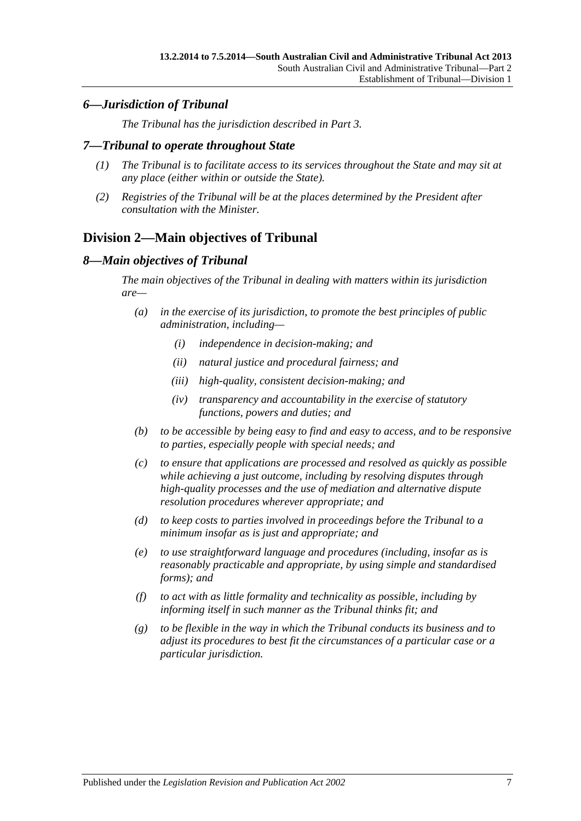# <span id="page-6-0"></span>*6—Jurisdiction of Tribunal*

*The Tribunal has the jurisdiction described in [Part](#page-20-1) 3.*

## <span id="page-6-1"></span>*7—Tribunal to operate throughout State*

- *(1) The Tribunal is to facilitate access to its services throughout the State and may sit at any place (either within or outside the State).*
- *(2) Registries of the Tribunal will be at the places determined by the President after consultation with the Minister.*

# <span id="page-6-2"></span>**Division 2—Main objectives of Tribunal**

## <span id="page-6-3"></span>*8—Main objectives of Tribunal*

*The main objectives of the Tribunal in dealing with matters within its jurisdiction are—*

- *(a) in the exercise of its jurisdiction, to promote the best principles of public administration, including—*
	- *(i) independence in decision-making; and*
	- *(ii) natural justice and procedural fairness; and*
	- *(iii) high-quality, consistent decision-making; and*
	- *(iv) transparency and accountability in the exercise of statutory functions, powers and duties; and*
- *(b) to be accessible by being easy to find and easy to access, and to be responsive to parties, especially people with special needs; and*
- *(c) to ensure that applications are processed and resolved as quickly as possible while achieving a just outcome, including by resolving disputes through high-quality processes and the use of mediation and alternative dispute resolution procedures wherever appropriate; and*
- *(d) to keep costs to parties involved in proceedings before the Tribunal to a minimum insofar as is just and appropriate; and*
- *(e) to use straightforward language and procedures (including, insofar as is reasonably practicable and appropriate, by using simple and standardised forms); and*
- *(f) to act with as little formality and technicality as possible, including by informing itself in such manner as the Tribunal thinks fit; and*
- *(g) to be flexible in the way in which the Tribunal conducts its business and to adjust its procedures to best fit the circumstances of a particular case or a particular jurisdiction.*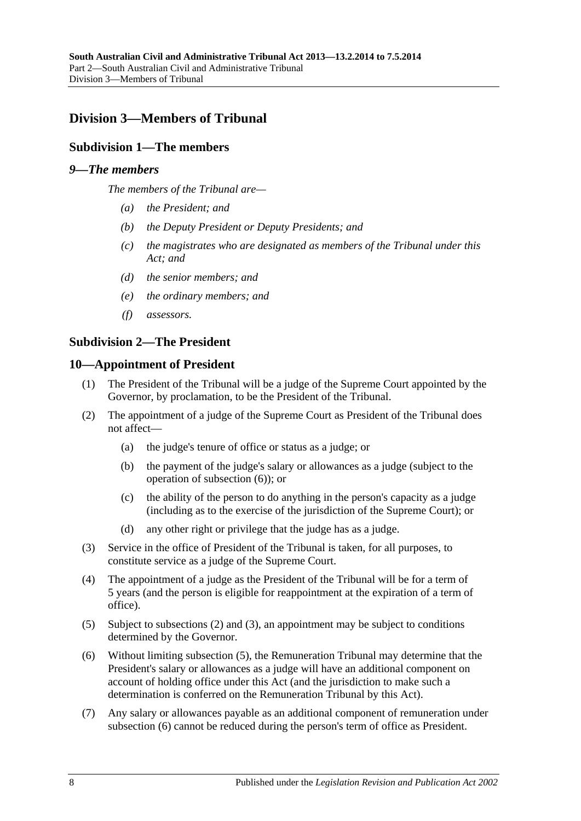# <span id="page-7-1"></span><span id="page-7-0"></span>**Division 3—Members of Tribunal**

## **Subdivision 1—The members**

### <span id="page-7-2"></span>*9—The members*

*The members of the Tribunal are—*

- *(a) the President; and*
- *(b) the Deputy President or Deputy Presidents; and*
- *(c) the magistrates who are designated as members of the Tribunal under this Act; and*
- *(d) the senior members; and*
- *(e) the ordinary members; and*
- *(f) assessors.*

### <span id="page-7-3"></span>**Subdivision 2—The President**

#### <span id="page-7-4"></span>**10—Appointment of President**

- (1) The President of the Tribunal will be a judge of the Supreme Court appointed by the Governor, by proclamation, to be the President of the Tribunal.
- <span id="page-7-6"></span>(2) The appointment of a judge of the Supreme Court as President of the Tribunal does not affect—
	- (a) the judge's tenure of office or status as a judge; or
	- (b) the payment of the judge's salary or allowances as a judge (subject to the operation of [subsection](#page-7-5) (6)); or
	- (c) the ability of the person to do anything in the person's capacity as a judge (including as to the exercise of the jurisdiction of the Supreme Court); or
	- (d) any other right or privilege that the judge has as a judge.
- <span id="page-7-7"></span>(3) Service in the office of President of the Tribunal is taken, for all purposes, to constitute service as a judge of the Supreme Court.
- (4) The appointment of a judge as the President of the Tribunal will be for a term of 5 years (and the person is eligible for reappointment at the expiration of a term of office).
- <span id="page-7-8"></span>(5) Subject to [subsections](#page-7-6) (2) and [\(3\),](#page-7-7) an appointment may be subject to conditions determined by the Governor.
- <span id="page-7-5"></span>(6) Without limiting [subsection](#page-7-8) (5), the Remuneration Tribunal may determine that the President's salary or allowances as a judge will have an additional component on account of holding office under this Act (and the jurisdiction to make such a determination is conferred on the Remuneration Tribunal by this Act).
- (7) Any salary or allowances payable as an additional component of remuneration under [subsection](#page-7-5) (6) cannot be reduced during the person's term of office as President.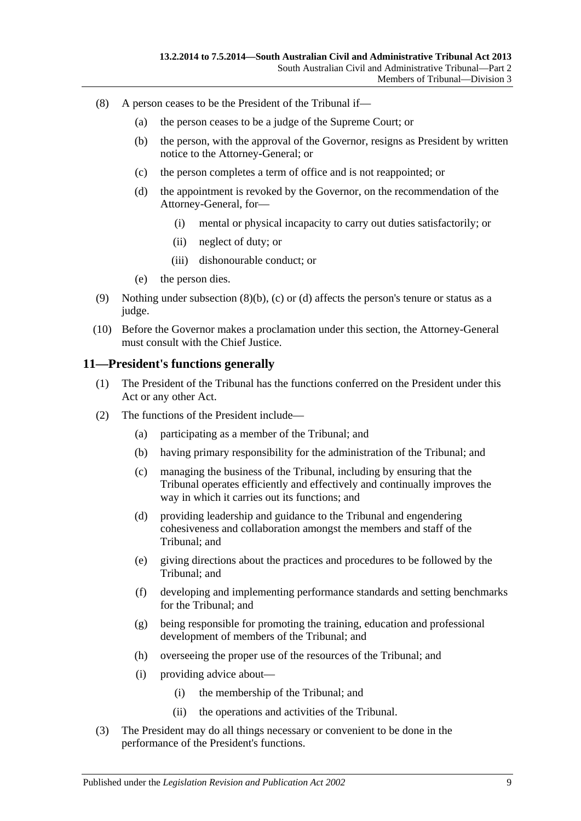- <span id="page-8-3"></span><span id="page-8-2"></span><span id="page-8-1"></span>(8) A person ceases to be the President of the Tribunal if—
	- (a) the person ceases to be a judge of the Supreme Court; or
	- (b) the person, with the approval of the Governor, resigns as President by written notice to the Attorney-General; or
	- (c) the person completes a term of office and is not reappointed; or
	- (d) the appointment is revoked by the Governor, on the recommendation of the Attorney-General, for—
		- (i) mental or physical incapacity to carry out duties satisfactorily; or
		- (ii) neglect of duty; or
		- (iii) dishonourable conduct; or
	- (e) the person dies.
- (9) Nothing under [subsection](#page-8-1)  $(8)(b)$ , [\(c\)](#page-8-2) or [\(d\)](#page-8-3) affects the person's tenure or status as a judge.
- (10) Before the Governor makes a proclamation under this section, the Attorney-General must consult with the Chief Justice.

### <span id="page-8-0"></span>**11—President's functions generally**

- (1) The President of the Tribunal has the functions conferred on the President under this Act or any other Act.
- (2) The functions of the President include—
	- (a) participating as a member of the Tribunal; and
	- (b) having primary responsibility for the administration of the Tribunal; and
	- (c) managing the business of the Tribunal, including by ensuring that the Tribunal operates efficiently and effectively and continually improves the way in which it carries out its functions; and
	- (d) providing leadership and guidance to the Tribunal and engendering cohesiveness and collaboration amongst the members and staff of the Tribunal; and
	- (e) giving directions about the practices and procedures to be followed by the Tribunal; and
	- (f) developing and implementing performance standards and setting benchmarks for the Tribunal; and
	- (g) being responsible for promoting the training, education and professional development of members of the Tribunal; and
	- (h) overseeing the proper use of the resources of the Tribunal; and
	- (i) providing advice about—
		- (i) the membership of the Tribunal; and
		- (ii) the operations and activities of the Tribunal.
- (3) The President may do all things necessary or convenient to be done in the performance of the President's functions.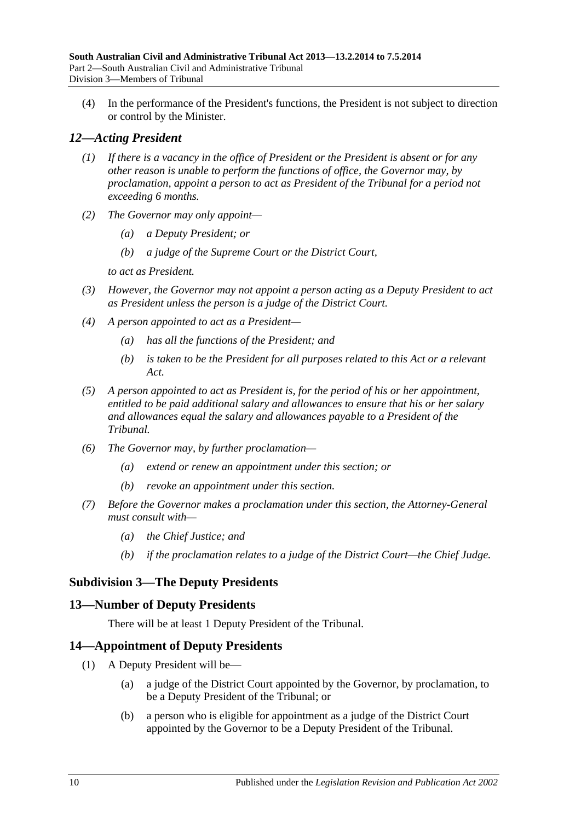(4) In the performance of the President's functions, the President is not subject to direction or control by the Minister.

# <span id="page-9-0"></span>*12—Acting President*

- *(1) If there is a vacancy in the office of President or the President is absent or for any other reason is unable to perform the functions of office, the Governor may, by proclamation, appoint a person to act as President of the Tribunal for a period not exceeding 6 months.*
- *(2) The Governor may only appoint—*
	- *(a) a Deputy President; or*
	- *(b) a judge of the Supreme Court or the District Court,*

*to act as President.*

- *(3) However, the Governor may not appoint a person acting as a Deputy President to act as President unless the person is a judge of the District Court.*
- *(4) A person appointed to act as a President—*
	- *(a) has all the functions of the President; and*
	- *(b) is taken to be the President for all purposes related to this Act or a relevant Act.*
- *(5) A person appointed to act as President is, for the period of his or her appointment, entitled to be paid additional salary and allowances to ensure that his or her salary and allowances equal the salary and allowances payable to a President of the Tribunal.*
- *(6) The Governor may, by further proclamation—*
	- *(a) extend or renew an appointment under this section; or*
	- *(b) revoke an appointment under this section.*
- *(7) Before the Governor makes a proclamation under this section, the Attorney-General must consult with—*
	- *(a) the Chief Justice; and*
	- *(b) if the proclamation relates to a judge of the District Court—the Chief Judge.*

# <span id="page-9-1"></span>**Subdivision 3—The Deputy Presidents**

## <span id="page-9-2"></span>**13—Number of Deputy Presidents**

There will be at least 1 Deputy President of the Tribunal.

## <span id="page-9-3"></span>**14—Appointment of Deputy Presidents**

- <span id="page-9-5"></span><span id="page-9-4"></span>(1) A Deputy President will be—
	- (a) a judge of the District Court appointed by the Governor, by proclamation, to be a Deputy President of the Tribunal; or
	- (b) a person who is eligible for appointment as a judge of the District Court appointed by the Governor to be a Deputy President of the Tribunal.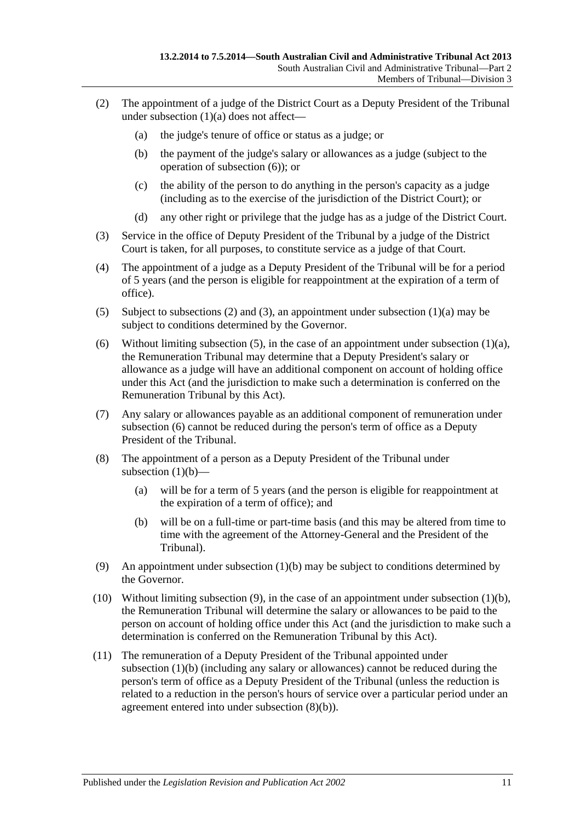- <span id="page-10-1"></span>(2) The appointment of a judge of the District Court as a Deputy President of the Tribunal under [subsection](#page-9-4)  $(1)(a)$  does not affect—
	- (a) the judge's tenure of office or status as a judge; or
	- (b) the payment of the judge's salary or allowances as a judge (subject to the operation of [subsection](#page-10-0) (6)); or
	- (c) the ability of the person to do anything in the person's capacity as a judge (including as to the exercise of the jurisdiction of the District Court); or
	- (d) any other right or privilege that the judge has as a judge of the District Court.
- <span id="page-10-2"></span>(3) Service in the office of Deputy President of the Tribunal by a judge of the District Court is taken, for all purposes, to constitute service as a judge of that Court.
- (4) The appointment of a judge as a Deputy President of the Tribunal will be for a period of 5 years (and the person is eligible for reappointment at the expiration of a term of office).
- <span id="page-10-3"></span>(5) Subject to [subsections \(2\)](#page-10-1) and [\(3\),](#page-10-2) an appointment under [subsection](#page-9-4) (1)(a) may be subject to conditions determined by the Governor.
- <span id="page-10-0"></span>(6) Without limiting [subsection](#page-9-4) (5), in the case of an appointment under subsection (1)(a), the Remuneration Tribunal may determine that a Deputy President's salary or allowance as a judge will have an additional component on account of holding office under this Act (and the jurisdiction to make such a determination is conferred on the Remuneration Tribunal by this Act).
- (7) Any salary or allowances payable as an additional component of remuneration under [subsection](#page-10-0) (6) cannot be reduced during the person's term of office as a Deputy President of the Tribunal.
- (8) The appointment of a person as a Deputy President of the Tribunal under [subsection](#page-9-5)  $(1)(b)$ —
	- (a) will be for a term of 5 years (and the person is eligible for reappointment at the expiration of a term of office); and
	- (b) will be on a full-time or part-time basis (and this may be altered from time to time with the agreement of the Attorney-General and the President of the Tribunal).
- <span id="page-10-5"></span><span id="page-10-4"></span>(9) An appointment under [subsection](#page-9-5) (1)(b) may be subject to conditions determined by the Governor.
- (10) Without limiting [subsection](#page-10-4) (9), in the case of an appointment under [subsection](#page-9-5) (1)(b), the Remuneration Tribunal will determine the salary or allowances to be paid to the person on account of holding office under this Act (and the jurisdiction to make such a determination is conferred on the Remuneration Tribunal by this Act).
- (11) The remuneration of a Deputy President of the Tribunal appointed under [subsection](#page-9-5) (1)(b) (including any salary or allowances) cannot be reduced during the person's term of office as a Deputy President of the Tribunal (unless the reduction is related to a reduction in the person's hours of service over a particular period under an agreement entered into under [subsection](#page-10-5) (8)(b)).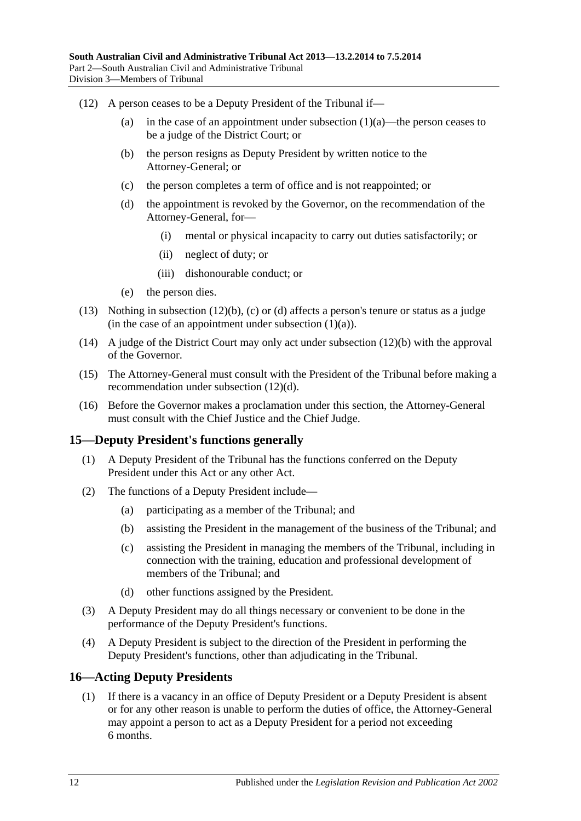- <span id="page-11-4"></span><span id="page-11-3"></span><span id="page-11-2"></span>(12) A person ceases to be a Deputy President of the Tribunal if
	- (a) in the case of an appointment under [subsection](#page-9-4)  $(1)(a)$ —the person ceases to be a judge of the District Court; or
	- (b) the person resigns as Deputy President by written notice to the Attorney-General; or
	- (c) the person completes a term of office and is not reappointed; or
	- (d) the appointment is revoked by the Governor, on the recommendation of the Attorney-General, for—
		- (i) mental or physical incapacity to carry out duties satisfactorily; or
		- (ii) neglect of duty; or
		- (iii) dishonourable conduct; or
	- (e) the person dies.
- (13) Nothing in [subsection](#page-11-2) (12)(b), [\(c\)](#page-11-3) or [\(d\)](#page-11-4) affects a person's tenure or status as a judge (in the case of an appointment under [subsection](#page-9-4)  $(1)(a)$ ).
- (14) A judge of the District Court may only act under [subsection](#page-11-2) (12)(b) with the approval of the Governor.
- (15) The Attorney-General must consult with the President of the Tribunal before making a recommendation under [subsection](#page-11-4) (12)(d).
- (16) Before the Governor makes a proclamation under this section, the Attorney-General must consult with the Chief Justice and the Chief Judge.

## <span id="page-11-0"></span>**15—Deputy President's functions generally**

- (1) A Deputy President of the Tribunal has the functions conferred on the Deputy President under this Act or any other Act.
- (2) The functions of a Deputy President include—
	- (a) participating as a member of the Tribunal; and
	- (b) assisting the President in the management of the business of the Tribunal; and
	- (c) assisting the President in managing the members of the Tribunal, including in connection with the training, education and professional development of members of the Tribunal; and
	- (d) other functions assigned by the President.
- (3) A Deputy President may do all things necessary or convenient to be done in the performance of the Deputy President's functions.
- (4) A Deputy President is subject to the direction of the President in performing the Deputy President's functions, other than adjudicating in the Tribunal.

## <span id="page-11-1"></span>**16—Acting Deputy Presidents**

(1) If there is a vacancy in an office of Deputy President or a Deputy President is absent or for any other reason is unable to perform the duties of office, the Attorney-General may appoint a person to act as a Deputy President for a period not exceeding 6 months.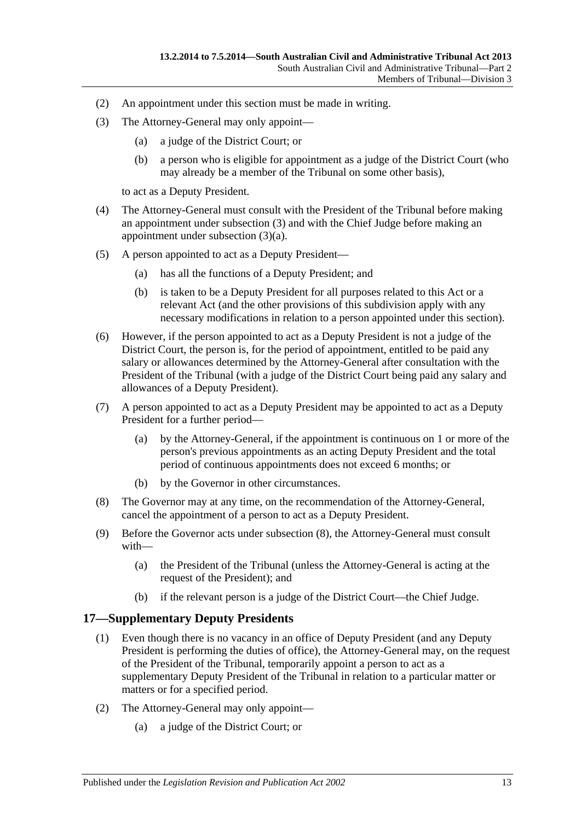- (2) An appointment under this section must be made in writing.
- <span id="page-12-2"></span><span id="page-12-1"></span>(3) The Attorney-General may only appoint—
	- (a) a judge of the District Court; or
	- (b) a person who is eligible for appointment as a judge of the District Court (who may already be a member of the Tribunal on some other basis),

to act as a Deputy President.

- (4) The Attorney-General must consult with the President of the Tribunal before making an appointment under [subsection](#page-12-1) (3) and with the Chief Judge before making an appointment under [subsection](#page-12-2) (3)(a).
- (5) A person appointed to act as a Deputy President—
	- (a) has all the functions of a Deputy President; and
	- (b) is taken to be a Deputy President for all purposes related to this Act or a relevant Act (and the other provisions of this subdivision apply with any necessary modifications in relation to a person appointed under this section).
- (6) However, if the person appointed to act as a Deputy President is not a judge of the District Court, the person is, for the period of appointment, entitled to be paid any salary or allowances determined by the Attorney-General after consultation with the President of the Tribunal (with a judge of the District Court being paid any salary and allowances of a Deputy President).
- (7) A person appointed to act as a Deputy President may be appointed to act as a Deputy President for a further period—
	- (a) by the Attorney-General, if the appointment is continuous on 1 or more of the person's previous appointments as an acting Deputy President and the total period of continuous appointments does not exceed 6 months; or
	- (b) by the Governor in other circumstances.
- <span id="page-12-3"></span>(8) The Governor may at any time, on the recommendation of the Attorney-General, cancel the appointment of a person to act as a Deputy President.
- (9) Before the Governor acts under [subsection](#page-12-3) (8), the Attorney-General must consult with—
	- (a) the President of the Tribunal (unless the Attorney-General is acting at the request of the President); and
	- (b) if the relevant person is a judge of the District Court—the Chief Judge.

## <span id="page-12-0"></span>**17—Supplementary Deputy Presidents**

- (1) Even though there is no vacancy in an office of Deputy President (and any Deputy President is performing the duties of office), the Attorney-General may, on the request of the President of the Tribunal, temporarily appoint a person to act as a supplementary Deputy President of the Tribunal in relation to a particular matter or matters or for a specified period.
- <span id="page-12-4"></span>(2) The Attorney-General may only appoint—
	- (a) a judge of the District Court; or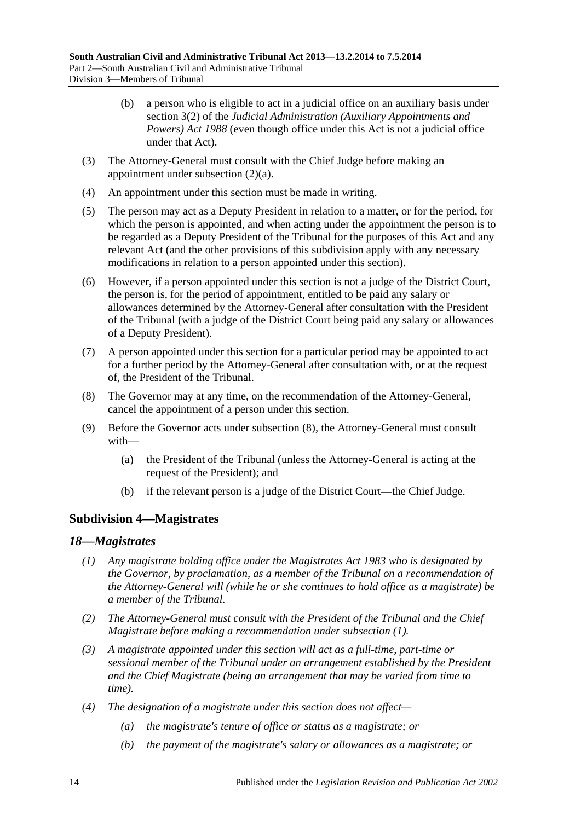- (b) a person who is eligible to act in a judicial office on an auxiliary basis under section 3(2) of the *[Judicial Administration \(Auxiliary Appointments and](http://www.legislation.sa.gov.au/index.aspx?action=legref&type=act&legtitle=Judicial%20Administration%20(Auxiliary%20Appointments%20and%20Powers)%20Act%201988)  [Powers\) Act](http://www.legislation.sa.gov.au/index.aspx?action=legref&type=act&legtitle=Judicial%20Administration%20(Auxiliary%20Appointments%20and%20Powers)%20Act%201988) 1988* (even though office under this Act is not a judicial office under that Act).
- (3) The Attorney-General must consult with the Chief Judge before making an appointment under [subsection](#page-12-4) (2)(a).
- (4) An appointment under this section must be made in writing.
- (5) The person may act as a Deputy President in relation to a matter, or for the period, for which the person is appointed, and when acting under the appointment the person is to be regarded as a Deputy President of the Tribunal for the purposes of this Act and any relevant Act (and the other provisions of this subdivision apply with any necessary modifications in relation to a person appointed under this section).
- (6) However, if a person appointed under this section is not a judge of the District Court, the person is, for the period of appointment, entitled to be paid any salary or allowances determined by the Attorney-General after consultation with the President of the Tribunal (with a judge of the District Court being paid any salary or allowances of a Deputy President).
- (7) A person appointed under this section for a particular period may be appointed to act for a further period by the Attorney-General after consultation with, or at the request of, the President of the Tribunal.
- <span id="page-13-2"></span>(8) The Governor may at any time, on the recommendation of the Attorney-General, cancel the appointment of a person under this section.
- (9) Before the Governor acts under [subsection](#page-13-2) (8), the Attorney-General must consult with—
	- (a) the President of the Tribunal (unless the Attorney-General is acting at the request of the President); and
	- (b) if the relevant person is a judge of the District Court—the Chief Judge.

## <span id="page-13-0"></span>**Subdivision 4—Magistrates**

#### <span id="page-13-3"></span><span id="page-13-1"></span>*18—Magistrates*

- *(1) Any magistrate holding office under the [Magistrates Act](http://www.legislation.sa.gov.au/index.aspx?action=legref&type=act&legtitle=Magistrates%20Act%201983) 1983 who is designated by the Governor, by proclamation, as a member of the Tribunal on a recommendation of the Attorney-General will (while he or she continues to hold office as a magistrate) be a member of the Tribunal.*
- *(2) The Attorney-General must consult with the President of the Tribunal and the Chief Magistrate before making a recommendation under [subsection](#page-13-3) (1).*
- *(3) A magistrate appointed under this section will act as a full-time, part-time or sessional member of the Tribunal under an arrangement established by the President and the Chief Magistrate (being an arrangement that may be varied from time to time).*
- *(4) The designation of a magistrate under this section does not affect—*
	- *(a) the magistrate's tenure of office or status as a magistrate; or*
	- *(b) the payment of the magistrate's salary or allowances as a magistrate; or*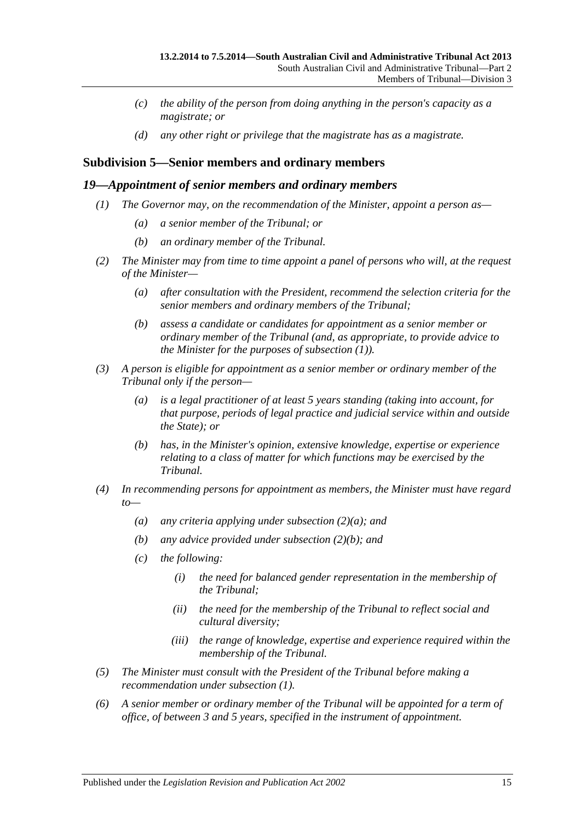- *(c) the ability of the person from doing anything in the person's capacity as a magistrate; or*
- *(d) any other right or privilege that the magistrate has as a magistrate.*

## <span id="page-14-0"></span>**Subdivision 5—Senior members and ordinary members**

#### <span id="page-14-2"></span><span id="page-14-1"></span>*19—Appointment of senior members and ordinary members*

- *(1) The Governor may, on the recommendation of the Minister, appoint a person as—*
	- *(a) a senior member of the Tribunal; or*
	- *(b) an ordinary member of the Tribunal.*
- <span id="page-14-5"></span><span id="page-14-3"></span>*(2) The Minister may from time to time appoint a panel of persons who will, at the request of the Minister—*
	- *(a) after consultation with the President, recommend the selection criteria for the senior members and ordinary members of the Tribunal;*
	- *(b) assess a candidate or candidates for appointment as a senior member or ordinary member of the Tribunal (and, as appropriate, to provide advice to the Minister for the purposes of [subsection](#page-14-2) (1)).*
- <span id="page-14-4"></span>*(3) A person is eligible for appointment as a senior member or ordinary member of the Tribunal only if the person—*
	- *(a) is a legal practitioner of at least 5 years standing (taking into account, for that purpose, periods of legal practice and judicial service within and outside the State); or*
	- *(b) has, in the Minister's opinion, extensive knowledge, expertise or experience relating to a class of matter for which functions may be exercised by the Tribunal.*
- *(4) In recommending persons for appointment as members, the Minister must have regard to—*
	- *(a) any criteria applying under [subsection](#page-14-3) (2)(a); and*
	- *(b) any advice provided under [subsection](#page-14-4) (2)(b); and*
	- *(c) the following:*
		- *(i) the need for balanced gender representation in the membership of the Tribunal;*
		- *(ii) the need for the membership of the Tribunal to reflect social and cultural diversity;*
		- *(iii) the range of knowledge, expertise and experience required within the membership of the Tribunal.*
- *(5) The Minister must consult with the President of the Tribunal before making a recommendation under [subsection](#page-14-2) (1).*
- *(6) A senior member or ordinary member of the Tribunal will be appointed for a term of office, of between 3 and 5 years, specified in the instrument of appointment.*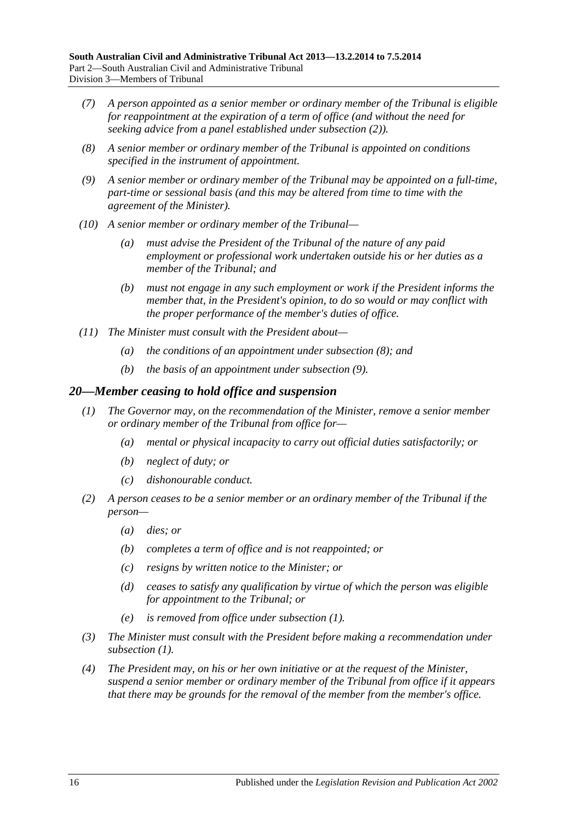- *(7) A person appointed as a senior member or ordinary member of the Tribunal is eligible for reappointment at the expiration of a term of office (and without the need for seeking advice from a panel established under [subsection](#page-14-5) (2)).*
- <span id="page-15-1"></span>*(8) A senior member or ordinary member of the Tribunal is appointed on conditions specified in the instrument of appointment.*
- <span id="page-15-2"></span>*(9) A senior member or ordinary member of the Tribunal may be appointed on a full-time, part-time or sessional basis (and this may be altered from time to time with the agreement of the Minister).*
- *(10) A senior member or ordinary member of the Tribunal—*
	- *(a) must advise the President of the Tribunal of the nature of any paid employment or professional work undertaken outside his or her duties as a member of the Tribunal; and*
	- *(b) must not engage in any such employment or work if the President informs the member that, in the President's opinion, to do so would or may conflict with the proper performance of the member's duties of office.*
- *(11) The Minister must consult with the President about—*
	- *(a) the conditions of an appointment under [subsection](#page-15-1) (8); and*
	- *(b) the basis of an appointment under [subsection](#page-15-2) (9).*

#### <span id="page-15-3"></span><span id="page-15-0"></span>*20—Member ceasing to hold office and suspension*

- *(1) The Governor may, on the recommendation of the Minister, remove a senior member or ordinary member of the Tribunal from office for—*
	- *(a) mental or physical incapacity to carry out official duties satisfactorily; or*
	- *(b) neglect of duty; or*
	- *(c) dishonourable conduct.*
- *(2) A person ceases to be a senior member or an ordinary member of the Tribunal if the person—*
	- *(a) dies; or*
	- *(b) completes a term of office and is not reappointed; or*
	- *(c) resigns by written notice to the Minister; or*
	- *(d) ceases to satisfy any qualification by virtue of which the person was eligible for appointment to the Tribunal; or*
	- *(e) is removed from office under [subsection](#page-15-3) (1).*
- *(3) The Minister must consult with the President before making a recommendation under [subsection](#page-15-3) (1).*
- <span id="page-15-4"></span>*(4) The President may, on his or her own initiative or at the request of the Minister, suspend a senior member or ordinary member of the Tribunal from office if it appears that there may be grounds for the removal of the member from the member's office.*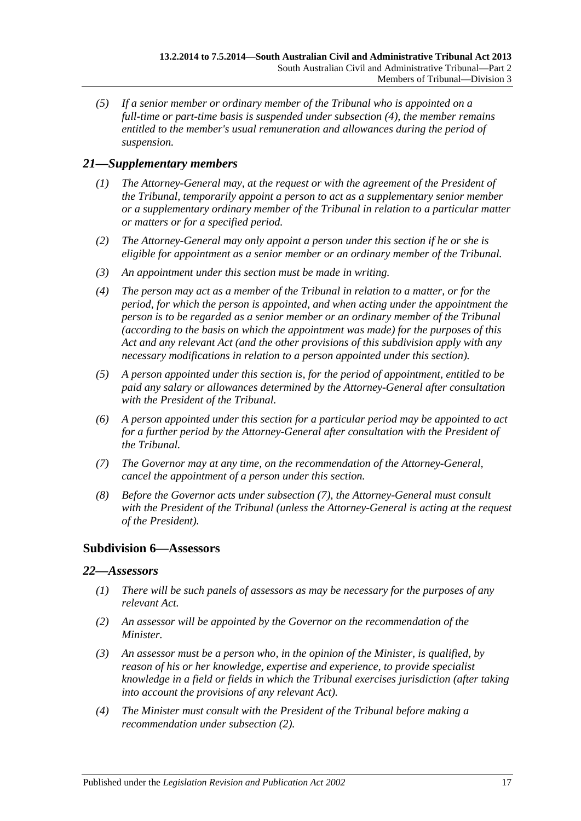*(5) If a senior member or ordinary member of the Tribunal who is appointed on a full-time or part-time basis is suspended under [subsection](#page-15-4) (4), the member remains entitled to the member's usual remuneration and allowances during the period of suspension.*

# <span id="page-16-0"></span>*21—Supplementary members*

- *(1) The Attorney-General may, at the request or with the agreement of the President of the Tribunal, temporarily appoint a person to act as a supplementary senior member or a supplementary ordinary member of the Tribunal in relation to a particular matter or matters or for a specified period.*
- *(2) The Attorney-General may only appoint a person under this section if he or she is eligible for appointment as a senior member or an ordinary member of the Tribunal.*
- *(3) An appointment under this section must be made in writing.*
- *(4) The person may act as a member of the Tribunal in relation to a matter, or for the period, for which the person is appointed, and when acting under the appointment the person is to be regarded as a senior member or an ordinary member of the Tribunal (according to the basis on which the appointment was made) for the purposes of this Act and any relevant Act (and the other provisions of this subdivision apply with any necessary modifications in relation to a person appointed under this section).*
- *(5) A person appointed under this section is, for the period of appointment, entitled to be paid any salary or allowances determined by the Attorney-General after consultation with the President of the Tribunal.*
- *(6) A person appointed under this section for a particular period may be appointed to act for a further period by the Attorney-General after consultation with the President of the Tribunal.*
- <span id="page-16-3"></span>*(7) The Governor may at any time, on the recommendation of the Attorney-General, cancel the appointment of a person under this section.*
- *(8) Before the Governor acts under [subsection](#page-16-3) (7), the Attorney-General must consult with the President of the Tribunal (unless the Attorney-General is acting at the request of the President).*

# <span id="page-16-1"></span>**Subdivision 6—Assessors**

## <span id="page-16-2"></span>*22—Assessors*

- *(1) There will be such panels of assessors as may be necessary for the purposes of any relevant Act.*
- <span id="page-16-4"></span>*(2) An assessor will be appointed by the Governor on the recommendation of the Minister.*
- *(3) An assessor must be a person who, in the opinion of the Minister, is qualified, by reason of his or her knowledge, expertise and experience, to provide specialist knowledge in a field or fields in which the Tribunal exercises jurisdiction (after taking into account the provisions of any relevant Act).*
- *(4) The Minister must consult with the President of the Tribunal before making a recommendation under [subsection](#page-16-4) (2).*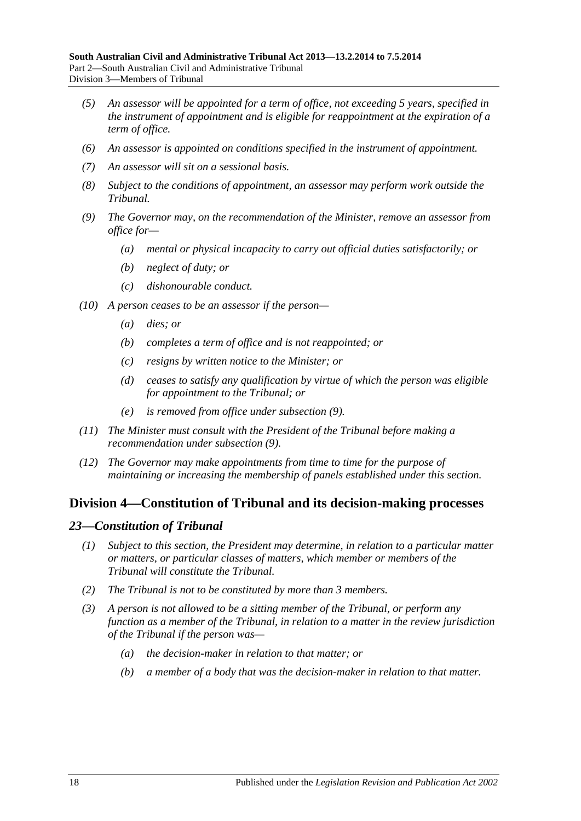- *(5) An assessor will be appointed for a term of office, not exceeding 5 years, specified in the instrument of appointment and is eligible for reappointment at the expiration of a term of office.*
- *(6) An assessor is appointed on conditions specified in the instrument of appointment.*
- *(7) An assessor will sit on a sessional basis.*
- *(8) Subject to the conditions of appointment, an assessor may perform work outside the Tribunal.*
- <span id="page-17-2"></span>*(9) The Governor may, on the recommendation of the Minister, remove an assessor from office for—*
	- *(a) mental or physical incapacity to carry out official duties satisfactorily; or*
	- *(b) neglect of duty; or*
	- *(c) dishonourable conduct.*
- *(10) A person ceases to be an assessor if the person—*
	- *(a) dies; or*
	- *(b) completes a term of office and is not reappointed; or*
	- *(c) resigns by written notice to the Minister; or*
	- *(d) ceases to satisfy any qualification by virtue of which the person was eligible for appointment to the Tribunal; or*
	- *(e) is removed from office under [subsection](#page-17-2) (9).*
- *(11) The Minister must consult with the President of the Tribunal before making a recommendation under [subsection](#page-17-2) (9).*
- *(12) The Governor may make appointments from time to time for the purpose of maintaining or increasing the membership of panels established under this section.*

# <span id="page-17-0"></span>**Division 4—Constitution of Tribunal and its decision-making processes**

#### <span id="page-17-1"></span>*23—Constitution of Tribunal*

- *(1) Subject to this section, the President may determine, in relation to a particular matter or matters, or particular classes of matters, which member or members of the Tribunal will constitute the Tribunal.*
- *(2) The Tribunal is not to be constituted by more than 3 members.*
- *(3) A person is not allowed to be a sitting member of the Tribunal, or perform any function as a member of the Tribunal, in relation to a matter in the review jurisdiction of the Tribunal if the person was—*
	- *(a) the decision-maker in relation to that matter; or*
	- *(b) a member of a body that was the decision-maker in relation to that matter.*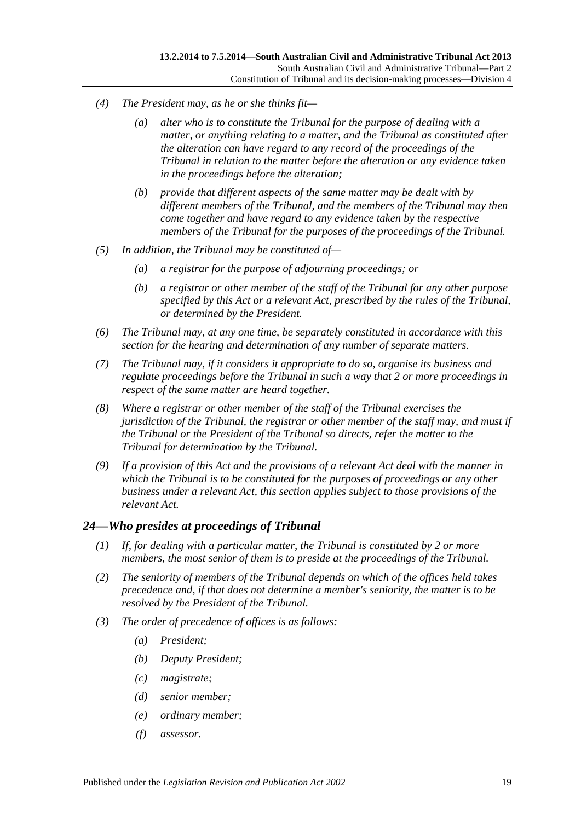- *(4) The President may, as he or she thinks fit—*
	- *(a) alter who is to constitute the Tribunal for the purpose of dealing with a matter, or anything relating to a matter, and the Tribunal as constituted after the alteration can have regard to any record of the proceedings of the Tribunal in relation to the matter before the alteration or any evidence taken in the proceedings before the alteration;*
	- *(b) provide that different aspects of the same matter may be dealt with by different members of the Tribunal, and the members of the Tribunal may then come together and have regard to any evidence taken by the respective members of the Tribunal for the purposes of the proceedings of the Tribunal.*
- *(5) In addition, the Tribunal may be constituted of—*
	- *(a) a registrar for the purpose of adjourning proceedings; or*
	- *(b) a registrar or other member of the staff of the Tribunal for any other purpose specified by this Act or a relevant Act, prescribed by the rules of the Tribunal, or determined by the President.*
- *(6) The Tribunal may, at any one time, be separately constituted in accordance with this section for the hearing and determination of any number of separate matters.*
- *(7) The Tribunal may, if it considers it appropriate to do so, organise its business and regulate proceedings before the Tribunal in such a way that 2 or more proceedings in respect of the same matter are heard together.*
- *(8) Where a registrar or other member of the staff of the Tribunal exercises the jurisdiction of the Tribunal, the registrar or other member of the staff may, and must if the Tribunal or the President of the Tribunal so directs, refer the matter to the Tribunal for determination by the Tribunal.*
- *(9) If a provision of this Act and the provisions of a relevant Act deal with the manner in which the Tribunal is to be constituted for the purposes of proceedings or any other business under a relevant Act, this section applies subject to those provisions of the relevant Act.*

## <span id="page-18-0"></span>*24—Who presides at proceedings of Tribunal*

- *(1) If, for dealing with a particular matter, the Tribunal is constituted by 2 or more members, the most senior of them is to preside at the proceedings of the Tribunal.*
- *(2) The seniority of members of the Tribunal depends on which of the offices held takes precedence and, if that does not determine a member's seniority, the matter is to be resolved by the President of the Tribunal.*
- *(3) The order of precedence of offices is as follows:*
	- *(a) President;*
	- *(b) Deputy President;*
	- *(c) magistrate;*
	- *(d) senior member;*
	- *(e) ordinary member;*
	- *(f) assessor.*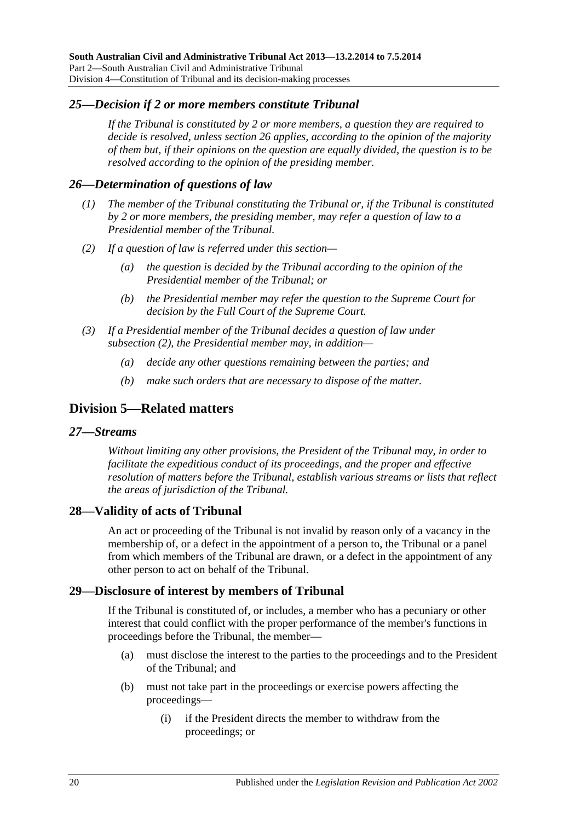## <span id="page-19-0"></span>*25—Decision if 2 or more members constitute Tribunal*

*If the Tribunal is constituted by 2 or more members, a question they are required to decide is resolved, unless [section](#page-19-1) 26 applies, according to the opinion of the majority of them but, if their opinions on the question are equally divided, the question is to be resolved according to the opinion of the presiding member.*

## <span id="page-19-1"></span>*26—Determination of questions of law*

- *(1) The member of the Tribunal constituting the Tribunal or, if the Tribunal is constituted by 2 or more members, the presiding member, may refer a question of law to a Presidential member of the Tribunal.*
- <span id="page-19-6"></span>*(2) If a question of law is referred under this section—*
	- *(a) the question is decided by the Tribunal according to the opinion of the Presidential member of the Tribunal; or*
	- *(b) the Presidential member may refer the question to the Supreme Court for decision by the Full Court of the Supreme Court.*
- *(3) If a Presidential member of the Tribunal decides a question of law under [subsection](#page-19-6) (2), the Presidential member may, in addition—*
	- *(a) decide any other questions remaining between the parties; and*
	- *(b) make such orders that are necessary to dispose of the matter.*

# <span id="page-19-2"></span>**Division 5—Related matters**

#### <span id="page-19-3"></span>*27—Streams*

*Without limiting any other provisions, the President of the Tribunal may, in order to facilitate the expeditious conduct of its proceedings, and the proper and effective resolution of matters before the Tribunal, establish various streams or lists that reflect the areas of jurisdiction of the Tribunal.*

#### <span id="page-19-4"></span>**28—Validity of acts of Tribunal**

An act or proceeding of the Tribunal is not invalid by reason only of a vacancy in the membership of, or a defect in the appointment of a person to, the Tribunal or a panel from which members of the Tribunal are drawn, or a defect in the appointment of any other person to act on behalf of the Tribunal.

## <span id="page-19-5"></span>**29—Disclosure of interest by members of Tribunal**

If the Tribunal is constituted of, or includes, a member who has a pecuniary or other interest that could conflict with the proper performance of the member's functions in proceedings before the Tribunal, the member—

- (a) must disclose the interest to the parties to the proceedings and to the President of the Tribunal; and
- (b) must not take part in the proceedings or exercise powers affecting the proceedings—
	- (i) if the President directs the member to withdraw from the proceedings; or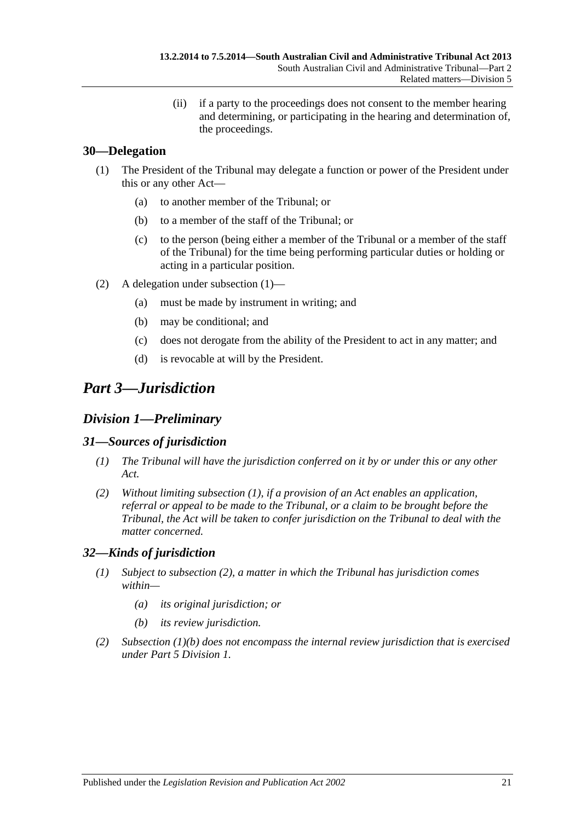(ii) if a party to the proceedings does not consent to the member hearing and determining, or participating in the hearing and determination of, the proceedings.

# <span id="page-20-5"></span><span id="page-20-0"></span>**30—Delegation**

- (1) The President of the Tribunal may delegate a function or power of the President under this or any other Act—
	- (a) to another member of the Tribunal; or
	- (b) to a member of the staff of the Tribunal; or
	- (c) to the person (being either a member of the Tribunal or a member of the staff of the Tribunal) for the time being performing particular duties or holding or acting in a particular position.
- (2) A delegation under [subsection](#page-20-5) (1)—
	- (a) must be made by instrument in writing; and
	- (b) may be conditional; and
	- (c) does not derogate from the ability of the President to act in any matter; and
	- (d) is revocable at will by the President.

# <span id="page-20-1"></span>*Part 3—Jurisdiction*

# <span id="page-20-2"></span>*Division 1—Preliminary*

## <span id="page-20-6"></span><span id="page-20-3"></span>*31—Sources of jurisdiction*

- *(1) The Tribunal will have the jurisdiction conferred on it by or under this or any other Act.*
- *(2) Without limiting [subsection](#page-20-6) (1), if a provision of an Act enables an application, referral or appeal to be made to the Tribunal, or a claim to be brought before the Tribunal, the Act will be taken to confer jurisdiction on the Tribunal to deal with the matter concerned.*

## <span id="page-20-4"></span>*32—Kinds of jurisdiction*

- *(1) Subject to [subsection](#page-20-7) (2), a matter in which the Tribunal has jurisdiction comes within—*
	- *(a) its original jurisdiction; or*
	- *(b) its review jurisdiction.*
- <span id="page-20-8"></span><span id="page-20-7"></span>*(2) [Subsection](#page-20-8) (1)(b) does not encompass the internal review jurisdiction that is exercised under Part [5 Division](#page-37-4) 1.*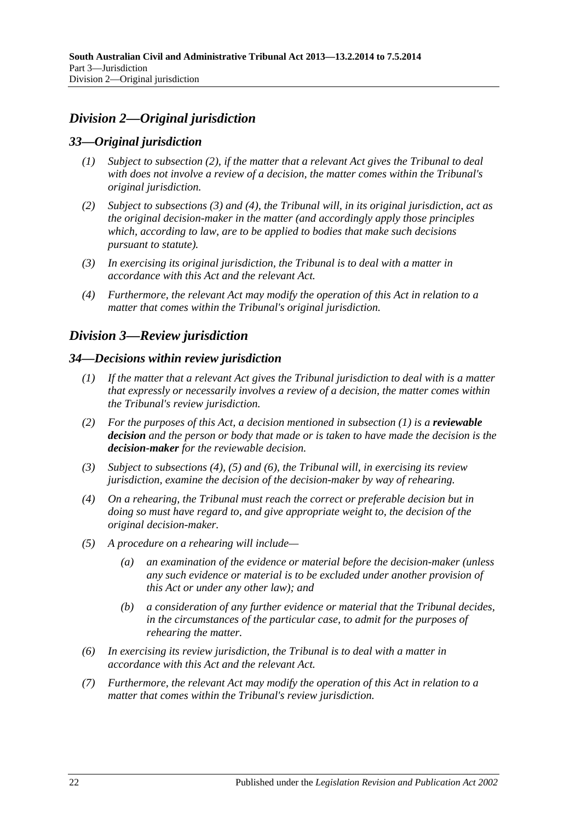# <span id="page-21-0"></span>*Division 2—Original jurisdiction*

# <span id="page-21-1"></span>*33—Original jurisdiction*

- *(1) Subject to [subsection](#page-21-5) (2), if the matter that a relevant Act gives the Tribunal to deal with does not involve a review of a decision, the matter comes within the Tribunal's original jurisdiction.*
- <span id="page-21-5"></span>*(2) Subject to [subsections](#page-21-6) (3) and [\(4\),](#page-21-7) the Tribunal will, in its original jurisdiction, act as the original decision-maker in the matter (and accordingly apply those principles which, according to law, are to be applied to bodies that make such decisions pursuant to statute).*
- <span id="page-21-6"></span>*(3) In exercising its original jurisdiction, the Tribunal is to deal with a matter in accordance with this Act and the relevant Act.*
- <span id="page-21-7"></span>*(4) Furthermore, the relevant Act may modify the operation of this Act in relation to a matter that comes within the Tribunal's original jurisdiction.*

# <span id="page-21-2"></span>*Division 3—Review jurisdiction*

### <span id="page-21-8"></span><span id="page-21-3"></span>*34—Decisions within review jurisdiction*

- *(1) If the matter that a relevant Act gives the Tribunal jurisdiction to deal with is a matter that expressly or necessarily involves a review of a decision, the matter comes within the Tribunal's review jurisdiction.*
- <span id="page-21-4"></span>*(2) For the purposes of this Act, a decision mentioned in [subsection](#page-21-8) (1) is a reviewable decision and the person or body that made or is taken to have made the decision is the decision-maker for the reviewable decision.*
- *(3) Subject to [subsections \(4\),](#page-21-9) [\(5\)](#page-21-10) and [\(6\),](#page-21-11) the Tribunal will, in exercising its review jurisdiction, examine the decision of the decision-maker by way of rehearing.*
- <span id="page-21-9"></span>*(4) On a rehearing, the Tribunal must reach the correct or preferable decision but in doing so must have regard to, and give appropriate weight to, the decision of the original decision-maker.*
- <span id="page-21-10"></span>*(5) A procedure on a rehearing will include—*
	- *(a) an examination of the evidence or material before the decision-maker (unless any such evidence or material is to be excluded under another provision of this Act or under any other law); and*
	- *(b) a consideration of any further evidence or material that the Tribunal decides, in the circumstances of the particular case, to admit for the purposes of rehearing the matter.*
- <span id="page-21-11"></span>*(6) In exercising its review jurisdiction, the Tribunal is to deal with a matter in accordance with this Act and the relevant Act.*
- *(7) Furthermore, the relevant Act may modify the operation of this Act in relation to a matter that comes within the Tribunal's review jurisdiction.*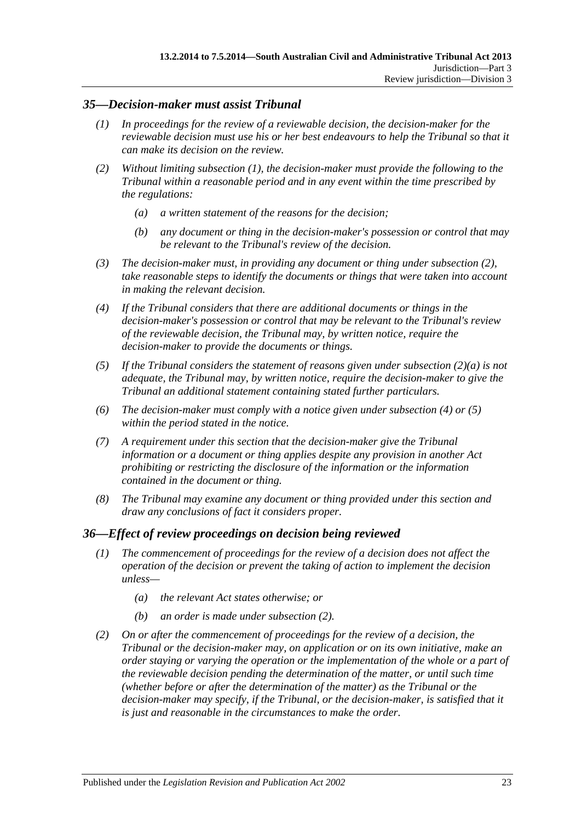## <span id="page-22-2"></span><span id="page-22-0"></span>*35—Decision-maker must assist Tribunal*

- *(1) In proceedings for the review of a reviewable decision, the decision-maker for the reviewable decision must use his or her best endeavours to help the Tribunal so that it can make its decision on the review.*
- <span id="page-22-4"></span><span id="page-22-3"></span>*(2) Without limiting [subsection](#page-22-2) (1), the decision-maker must provide the following to the Tribunal within a reasonable period and in any event within the time prescribed by the regulations:*
	- *(a) a written statement of the reasons for the decision;*
	- *(b) any document or thing in the decision-maker's possession or control that may be relevant to the Tribunal's review of the decision.*
- *(3) The decision-maker must, in providing any document or thing under [subsection](#page-22-3) (2), take reasonable steps to identify the documents or things that were taken into account in making the relevant decision.*
- <span id="page-22-5"></span>*(4) If the Tribunal considers that there are additional documents or things in the decision-maker's possession or control that may be relevant to the Tribunal's review of the reviewable decision, the Tribunal may, by written notice, require the decision-maker to provide the documents or things.*
- <span id="page-22-6"></span>*(5) If the Tribunal considers the statement of reasons given under [subsection](#page-22-4) (2)(a) is not adequate, the Tribunal may, by written notice, require the decision-maker to give the Tribunal an additional statement containing stated further particulars.*
- *(6) The decision-maker must comply with a notice given under [subsection](#page-22-5) (4) or [\(5\)](#page-22-6) within the period stated in the notice.*
- *(7) A requirement under this section that the decision-maker give the Tribunal information or a document or thing applies despite any provision in another Act prohibiting or restricting the disclosure of the information or the information contained in the document or thing.*
- *(8) The Tribunal may examine any document or thing provided under this section and draw any conclusions of fact it considers proper.*

## <span id="page-22-1"></span>*36—Effect of review proceedings on decision being reviewed*

- *(1) The commencement of proceedings for the review of a decision does not affect the operation of the decision or prevent the taking of action to implement the decision unless—*
	- *(a) the relevant Act states otherwise; or*
	- *(b) an order is made under [subsection](#page-22-7) (2).*
- <span id="page-22-7"></span>*(2) On or after the commencement of proceedings for the review of a decision, the Tribunal or the decision-maker may, on application or on its own initiative, make an order staying or varying the operation or the implementation of the whole or a part of the reviewable decision pending the determination of the matter, or until such time (whether before or after the determination of the matter) as the Tribunal or the*  decision-maker may specify, if the Tribunal, or the decision-maker, is satisfied that it *is just and reasonable in the circumstances to make the order.*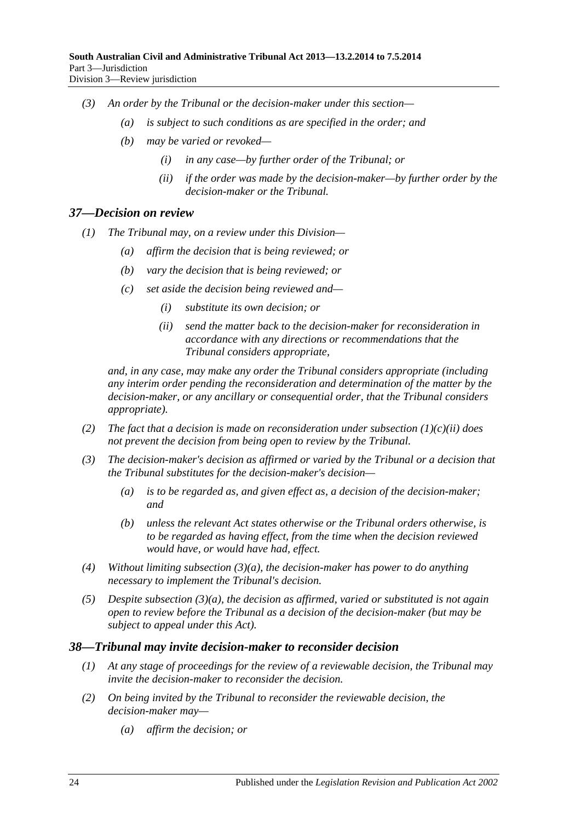- *(3) An order by the Tribunal or the decision-maker under this section—*
	- *(a) is subject to such conditions as are specified in the order; and*
	- *(b) may be varied or revoked—*
		- *(i) in any case—by further order of the Tribunal; or*
		- *(ii) if the order was made by the decision-maker—by further order by the decision-maker or the Tribunal.*

#### <span id="page-23-0"></span>*37—Decision on review*

- *(1) The Tribunal may, on a review under this Division—*
	- *(a) affirm the decision that is being reviewed; or*
	- *(b) vary the decision that is being reviewed; or*
	- *(c) set aside the decision being reviewed and—*
		- *(i) substitute its own decision; or*
		- *(ii) send the matter back to the decision-maker for reconsideration in accordance with any directions or recommendations that the Tribunal considers appropriate,*

<span id="page-23-2"></span>*and, in any case, may make any order the Tribunal considers appropriate (including any interim order pending the reconsideration and determination of the matter by the decision-maker, or any ancillary or consequential order, that the Tribunal considers appropriate).*

- *(2) The fact that a decision is made on reconsideration under [subsection](#page-23-2) (1)(c)(ii) does not prevent the decision from being open to review by the Tribunal.*
- <span id="page-23-3"></span>*(3) The decision-maker's decision as affirmed or varied by the Tribunal or a decision that the Tribunal substitutes for the decision-maker's decision—*
	- *(a) is to be regarded as, and given effect as, a decision of the decision-maker; and*
	- *(b) unless the relevant Act states otherwise or the Tribunal orders otherwise, is to be regarded as having effect, from the time when the decision reviewed would have, or would have had, effect.*
- *(4) Without limiting [subsection](#page-23-3) (3)(a), the decision-maker has power to do anything necessary to implement the Tribunal's decision.*
- *(5) Despite [subsection](#page-23-3) (3)(a), the decision as affirmed, varied or substituted is not again open to review before the Tribunal as a decision of the decision-maker (but may be subject to appeal under this Act).*

#### <span id="page-23-1"></span>*38—Tribunal may invite decision-maker to reconsider decision*

- *(1) At any stage of proceedings for the review of a reviewable decision, the Tribunal may invite the decision-maker to reconsider the decision.*
- *(2) On being invited by the Tribunal to reconsider the reviewable decision, the decision-maker may—*
	- *(a) affirm the decision; or*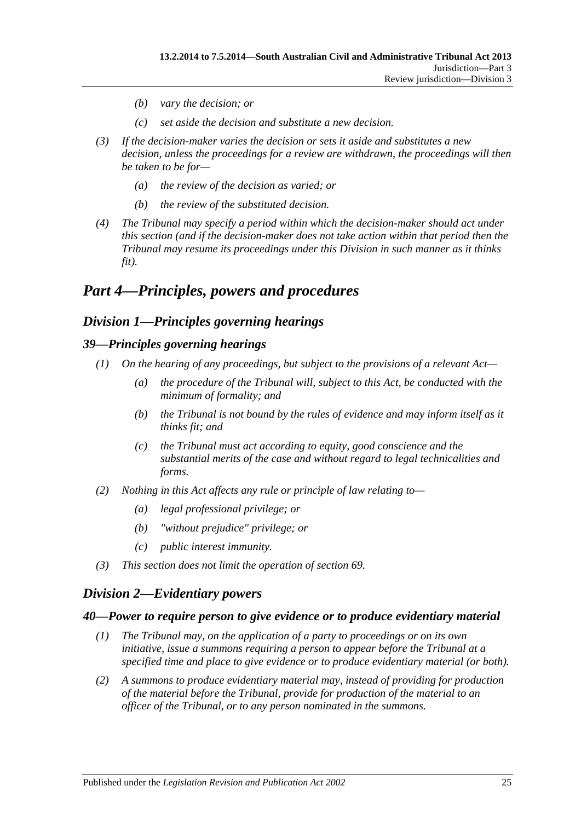- *(b) vary the decision; or*
- *(c) set aside the decision and substitute a new decision.*
- *(3) If the decision-maker varies the decision or sets it aside and substitutes a new decision, unless the proceedings for a review are withdrawn, the proceedings will then be taken to be for—*
	- *(a) the review of the decision as varied; or*
	- *(b) the review of the substituted decision.*
- *(4) The Tribunal may specify a period within which the decision-maker should act under this section (and if the decision-maker does not take action within that period then the Tribunal may resume its proceedings under this Division in such manner as it thinks fit).*

# <span id="page-24-0"></span>*Part 4—Principles, powers and procedures*

# <span id="page-24-1"></span>*Division 1—Principles governing hearings*

# <span id="page-24-2"></span>*39—Principles governing hearings*

- *(1) On the hearing of any proceedings, but subject to the provisions of a relevant Act—*
	- *(a) the procedure of the Tribunal will, subject to this Act, be conducted with the minimum of formality; and*
	- *(b) the Tribunal is not bound by the rules of evidence and may inform itself as it thinks fit; and*
	- *(c) the Tribunal must act according to equity, good conscience and the substantial merits of the case and without regard to legal technicalities and forms.*
- *(2) Nothing in this Act affects any rule or principle of law relating to—*
	- *(a) legal professional privilege; or*
	- *(b) "without prejudice" privilege; or*
	- *(c) public interest immunity.*
- *(3) This section does not limit the operation of [section](#page-37-2) 69.*

# <span id="page-24-3"></span>*Division 2—Evidentiary powers*

## <span id="page-24-4"></span>*40—Power to require person to give evidence or to produce evidentiary material*

- *(1) The Tribunal may, on the application of a party to proceedings or on its own initiative, issue a summons requiring a person to appear before the Tribunal at a specified time and place to give evidence or to produce evidentiary material (or both).*
- *(2) A summons to produce evidentiary material may, instead of providing for production of the material before the Tribunal, provide for production of the material to an officer of the Tribunal, or to any person nominated in the summons.*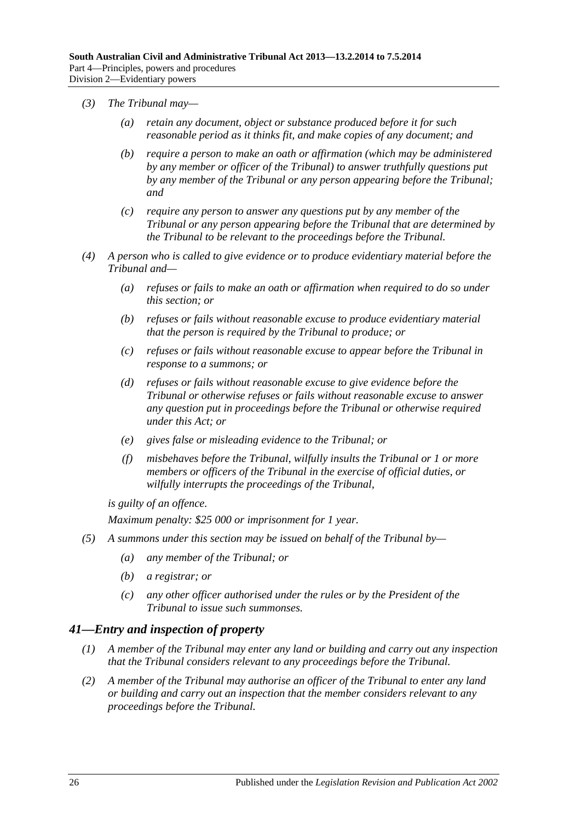- *(3) The Tribunal may—*
	- *(a) retain any document, object or substance produced before it for such reasonable period as it thinks fit, and make copies of any document; and*
	- *(b) require a person to make an oath or affirmation (which may be administered by any member or officer of the Tribunal) to answer truthfully questions put by any member of the Tribunal or any person appearing before the Tribunal; and*
	- *(c) require any person to answer any questions put by any member of the Tribunal or any person appearing before the Tribunal that are determined by the Tribunal to be relevant to the proceedings before the Tribunal.*
- *(4) A person who is called to give evidence or to produce evidentiary material before the Tribunal and—*
	- *(a) refuses or fails to make an oath or affirmation when required to do so under this section; or*
	- *(b) refuses or fails without reasonable excuse to produce evidentiary material that the person is required by the Tribunal to produce; or*
	- *(c) refuses or fails without reasonable excuse to appear before the Tribunal in response to a summons; or*
	- *(d) refuses or fails without reasonable excuse to give evidence before the Tribunal or otherwise refuses or fails without reasonable excuse to answer any question put in proceedings before the Tribunal or otherwise required under this Act; or*
	- *(e) gives false or misleading evidence to the Tribunal; or*
	- *(f) misbehaves before the Tribunal, wilfully insults the Tribunal or 1 or more members or officers of the Tribunal in the exercise of official duties, or wilfully interrupts the proceedings of the Tribunal,*

*is guilty of an offence.*

*Maximum penalty: \$25 000 or imprisonment for 1 year.*

- *(5) A summons under this section may be issued on behalf of the Tribunal by—*
	- *(a) any member of the Tribunal; or*
	- *(b) a registrar; or*
	- *(c) any other officer authorised under the rules or by the President of the Tribunal to issue such summonses.*

## <span id="page-25-0"></span>*41—Entry and inspection of property*

- *(1) A member of the Tribunal may enter any land or building and carry out any inspection that the Tribunal considers relevant to any proceedings before the Tribunal.*
- *(2) A member of the Tribunal may authorise an officer of the Tribunal to enter any land or building and carry out an inspection that the member considers relevant to any proceedings before the Tribunal.*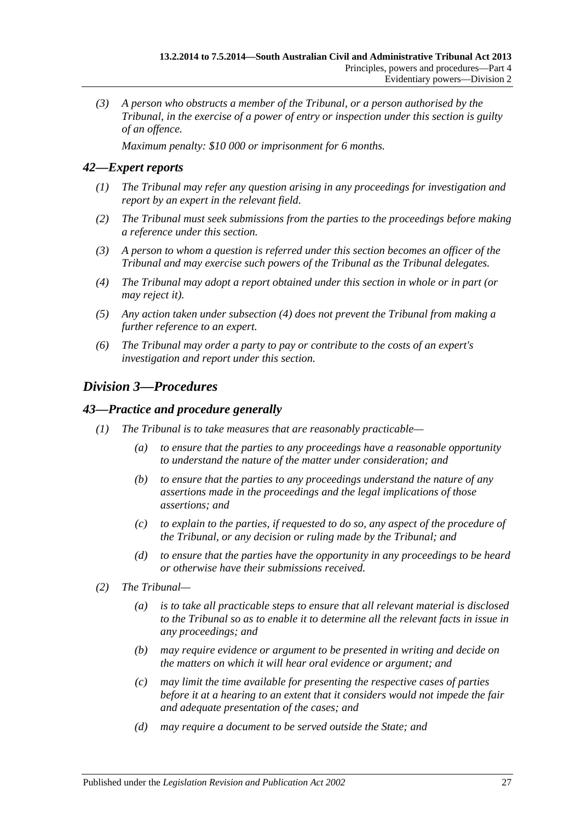*(3) A person who obstructs a member of the Tribunal, or a person authorised by the Tribunal, in the exercise of a power of entry or inspection under this section is guilty of an offence.*

*Maximum penalty: \$10 000 or imprisonment for 6 months.*

# <span id="page-26-0"></span>*42—Expert reports*

- *(1) The Tribunal may refer any question arising in any proceedings for investigation and report by an expert in the relevant field.*
- *(2) The Tribunal must seek submissions from the parties to the proceedings before making a reference under this section.*
- *(3) A person to whom a question is referred under this section becomes an officer of the Tribunal and may exercise such powers of the Tribunal as the Tribunal delegates.*
- <span id="page-26-3"></span>*(4) The Tribunal may adopt a report obtained under this section in whole or in part (or may reject it).*
- *(5) Any action taken under [subsection](#page-26-3) (4) does not prevent the Tribunal from making a further reference to an expert.*
- *(6) The Tribunal may order a party to pay or contribute to the costs of an expert's investigation and report under this section.*

# <span id="page-26-1"></span>*Division 3—Procedures*

## <span id="page-26-2"></span>*43—Practice and procedure generally*

- *(1) The Tribunal is to take measures that are reasonably practicable—*
	- *(a) to ensure that the parties to any proceedings have a reasonable opportunity to understand the nature of the matter under consideration; and*
	- *(b) to ensure that the parties to any proceedings understand the nature of any assertions made in the proceedings and the legal implications of those assertions; and*
	- *(c) to explain to the parties, if requested to do so, any aspect of the procedure of the Tribunal, or any decision or ruling made by the Tribunal; and*
	- *(d) to ensure that the parties have the opportunity in any proceedings to be heard or otherwise have their submissions received.*
- *(2) The Tribunal—*
	- *(a) is to take all practicable steps to ensure that all relevant material is disclosed to the Tribunal so as to enable it to determine all the relevant facts in issue in any proceedings; and*
	- *(b) may require evidence or argument to be presented in writing and decide on the matters on which it will hear oral evidence or argument; and*
	- *(c) may limit the time available for presenting the respective cases of parties before it at a hearing to an extent that it considers would not impede the fair and adequate presentation of the cases; and*
	- *(d) may require a document to be served outside the State; and*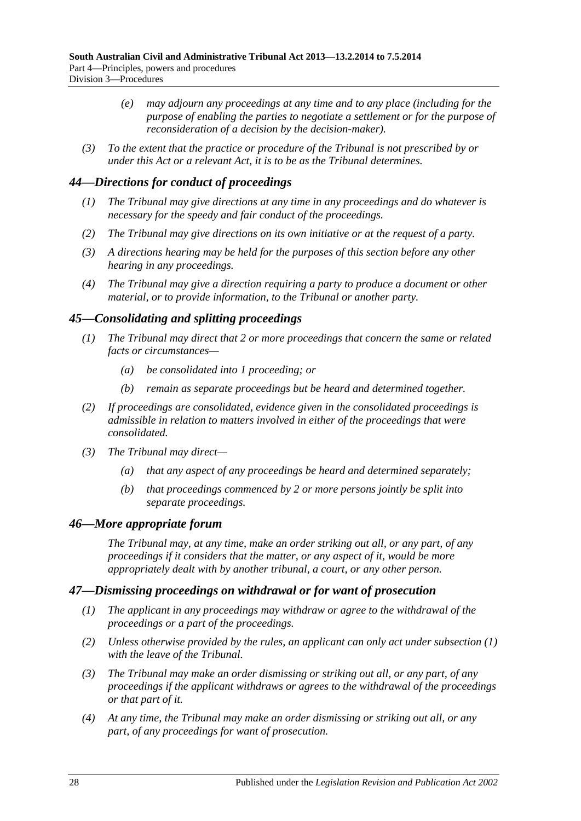- *(e) may adjourn any proceedings at any time and to any place (including for the purpose of enabling the parties to negotiate a settlement or for the purpose of reconsideration of a decision by the decision-maker).*
- *(3) To the extent that the practice or procedure of the Tribunal is not prescribed by or under this Act or a relevant Act, it is to be as the Tribunal determines.*

# <span id="page-27-0"></span>*44—Directions for conduct of proceedings*

- *(1) The Tribunal may give directions at any time in any proceedings and do whatever is necessary for the speedy and fair conduct of the proceedings.*
- *(2) The Tribunal may give directions on its own initiative or at the request of a party.*
- *(3) A directions hearing may be held for the purposes of this section before any other hearing in any proceedings.*
- *(4) The Tribunal may give a direction requiring a party to produce a document or other material, or to provide information, to the Tribunal or another party.*

# <span id="page-27-1"></span>*45—Consolidating and splitting proceedings*

- *(1) The Tribunal may direct that 2 or more proceedings that concern the same or related facts or circumstances—*
	- *(a) be consolidated into 1 proceeding; or*
	- *(b) remain as separate proceedings but be heard and determined together.*
- *(2) If proceedings are consolidated, evidence given in the consolidated proceedings is admissible in relation to matters involved in either of the proceedings that were consolidated.*
- *(3) The Tribunal may direct—*
	- *(a) that any aspect of any proceedings be heard and determined separately;*
	- *(b) that proceedings commenced by 2 or more persons jointly be split into separate proceedings.*

## <span id="page-27-2"></span>*46—More appropriate forum*

*The Tribunal may, at any time, make an order striking out all, or any part, of any proceedings if it considers that the matter, or any aspect of it, would be more appropriately dealt with by another tribunal, a court, or any other person.*

## <span id="page-27-4"></span><span id="page-27-3"></span>*47—Dismissing proceedings on withdrawal or for want of prosecution*

- *(1) The applicant in any proceedings may withdraw or agree to the withdrawal of the proceedings or a part of the proceedings.*
- *(2) Unless otherwise provided by the rules, an applicant can only act under [subsection](#page-27-4) (1) with the leave of the Tribunal.*
- *(3) The Tribunal may make an order dismissing or striking out all, or any part, of any proceedings if the applicant withdraws or agrees to the withdrawal of the proceedings or that part of it.*
- <span id="page-27-5"></span>*(4) At any time, the Tribunal may make an order dismissing or striking out all, or any part, of any proceedings for want of prosecution.*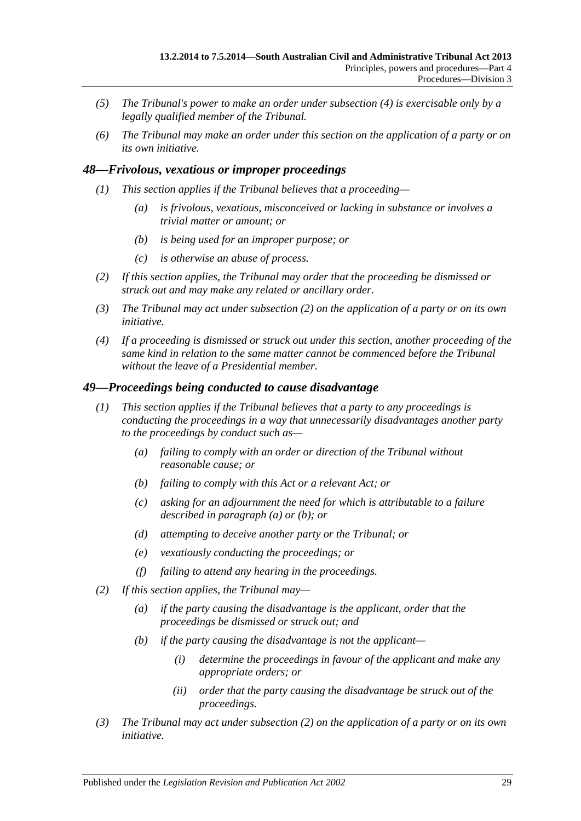- *(5) The Tribunal's power to make an order under [subsection](#page-27-5) (4) is exercisable only by a legally qualified member of the Tribunal.*
- *(6) The Tribunal may make an order under this section on the application of a party or on its own initiative.*

## <span id="page-28-0"></span>*48—Frivolous, vexatious or improper proceedings*

- *(1) This section applies if the Tribunal believes that a proceeding—*
	- *(a) is frivolous, vexatious, misconceived or lacking in substance or involves a trivial matter or amount; or*
	- *(b) is being used for an improper purpose; or*
	- *(c) is otherwise an abuse of process.*
- <span id="page-28-2"></span>*(2) If this section applies, the Tribunal may order that the proceeding be dismissed or struck out and may make any related or ancillary order.*
- *(3) The Tribunal may act under [subsection](#page-28-2) (2) on the application of a party or on its own initiative.*
- *(4) If a proceeding is dismissed or struck out under this section, another proceeding of the same kind in relation to the same matter cannot be commenced before the Tribunal without the leave of a Presidential member.*

#### <span id="page-28-1"></span>*49—Proceedings being conducted to cause disadvantage*

- <span id="page-28-4"></span><span id="page-28-3"></span>*(1) This section applies if the Tribunal believes that a party to any proceedings is conducting the proceedings in a way that unnecessarily disadvantages another party to the proceedings by conduct such as—*
	- *(a) failing to comply with an order or direction of the Tribunal without reasonable cause; or*
	- *(b) failing to comply with this Act or a relevant Act; or*
	- *(c) asking for an adjournment the need for which is attributable to a failure described in [paragraph](#page-28-3) (a) or [\(b\);](#page-28-4) or*
	- *(d) attempting to deceive another party or the Tribunal; or*
	- *(e) vexatiously conducting the proceedings; or*
	- *(f) failing to attend any hearing in the proceedings.*
- <span id="page-28-5"></span>*(2) If this section applies, the Tribunal may—*
	- *(a) if the party causing the disadvantage is the applicant, order that the proceedings be dismissed or struck out; and*
	- *(b) if the party causing the disadvantage is not the applicant—*
		- *(i) determine the proceedings in favour of the applicant and make any appropriate orders; or*
		- *(ii) order that the party causing the disadvantage be struck out of the proceedings.*
- *(3) The Tribunal may act under [subsection](#page-28-5) (2) on the application of a party or on its own initiative.*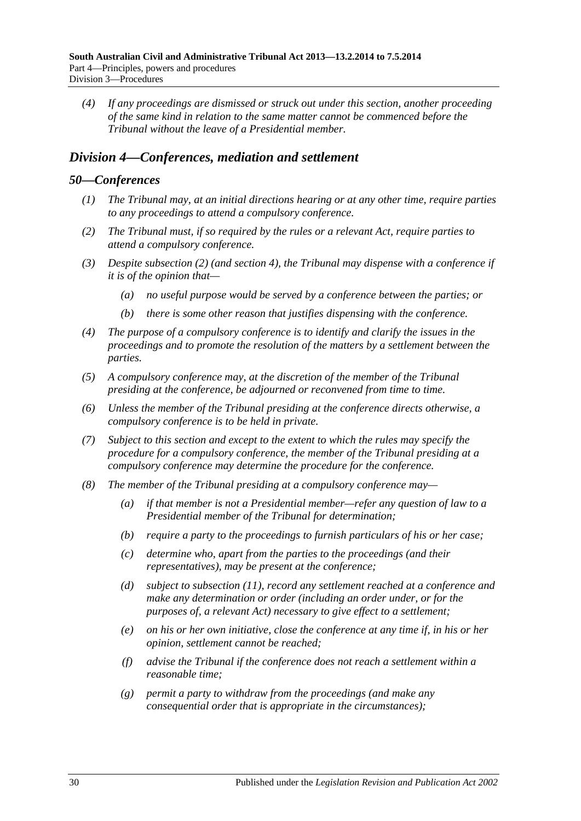*(4) If any proceedings are dismissed or struck out under this section, another proceeding of the same kind in relation to the same matter cannot be commenced before the Tribunal without the leave of a Presidential member.*

# <span id="page-29-0"></span>*Division 4—Conferences, mediation and settlement*

#### <span id="page-29-1"></span>*50—Conferences*

- *(1) The Tribunal may, at an initial directions hearing or at any other time, require parties to any proceedings to attend a compulsory conference.*
- <span id="page-29-2"></span>*(2) The Tribunal must, if so required by the rules or a relevant Act, require parties to attend a compulsory conference.*
- *(3) Despite [subsection](#page-29-2) (2) (and [section](#page-5-0) 4), the Tribunal may dispense with a conference if it is of the opinion that—*
	- *(a) no useful purpose would be served by a conference between the parties; or*
	- *(b) there is some other reason that justifies dispensing with the conference.*
- *(4) The purpose of a compulsory conference is to identify and clarify the issues in the proceedings and to promote the resolution of the matters by a settlement between the parties.*
- *(5) A compulsory conference may, at the discretion of the member of the Tribunal presiding at the conference, be adjourned or reconvened from time to time.*
- *(6) Unless the member of the Tribunal presiding at the conference directs otherwise, a compulsory conference is to be held in private.*
- *(7) Subject to this section and except to the extent to which the rules may specify the procedure for a compulsory conference, the member of the Tribunal presiding at a compulsory conference may determine the procedure for the conference.*
- <span id="page-29-3"></span>*(8) The member of the Tribunal presiding at a compulsory conference may—*
	- *(a) if that member is not a Presidential member—refer any question of law to a Presidential member of the Tribunal for determination;*
	- *(b) require a party to the proceedings to furnish particulars of his or her case;*
	- *(c) determine who, apart from the parties to the proceedings (and their representatives), may be present at the conference;*
	- *(d) subject to [subsection](#page-30-1) (11), record any settlement reached at a conference and make any determination or order (including an order under, or for the purposes of, a relevant Act) necessary to give effect to a settlement;*
	- *(e) on his or her own initiative, close the conference at any time if, in his or her opinion, settlement cannot be reached;*
	- *(f) advise the Tribunal if the conference does not reach a settlement within a reasonable time;*
	- *(g) permit a party to withdraw from the proceedings (and make any consequential order that is appropriate in the circumstances);*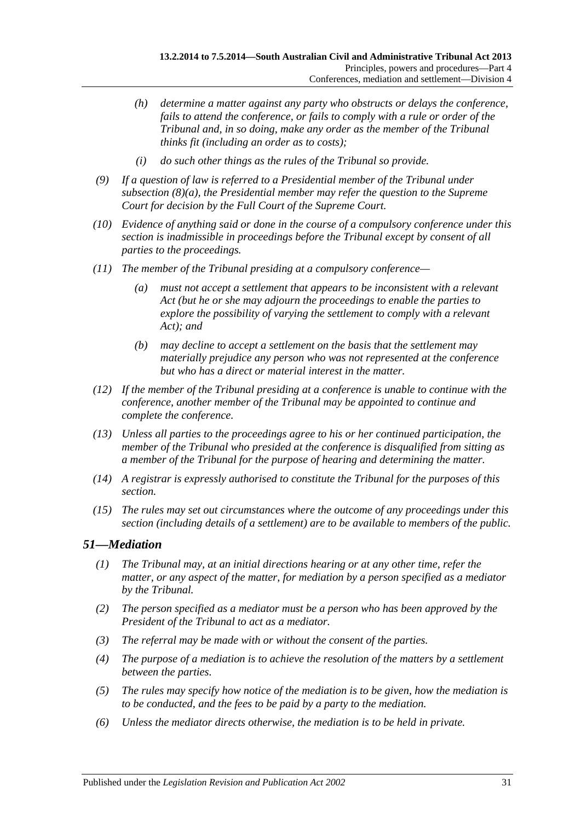- *(h) determine a matter against any party who obstructs or delays the conference, fails to attend the conference, or fails to comply with a rule or order of the Tribunal and, in so doing, make any order as the member of the Tribunal thinks fit (including an order as to costs);*
- *(i) do such other things as the rules of the Tribunal so provide.*
- *(9) If a question of law is referred to a Presidential member of the Tribunal under [subsection](#page-29-3) (8)(a), the Presidential member may refer the question to the Supreme Court for decision by the Full Court of the Supreme Court.*
- *(10) Evidence of anything said or done in the course of a compulsory conference under this section is inadmissible in proceedings before the Tribunal except by consent of all parties to the proceedings.*
- <span id="page-30-1"></span>*(11) The member of the Tribunal presiding at a compulsory conference—*
	- *(a) must not accept a settlement that appears to be inconsistent with a relevant Act (but he or she may adjourn the proceedings to enable the parties to explore the possibility of varying the settlement to comply with a relevant Act); and*
	- *(b) may decline to accept a settlement on the basis that the settlement may materially prejudice any person who was not represented at the conference but who has a direct or material interest in the matter.*
- *(12) If the member of the Tribunal presiding at a conference is unable to continue with the conference, another member of the Tribunal may be appointed to continue and complete the conference.*
- *(13) Unless all parties to the proceedings agree to his or her continued participation, the member of the Tribunal who presided at the conference is disqualified from sitting as a member of the Tribunal for the purpose of hearing and determining the matter.*
- *(14) A registrar is expressly authorised to constitute the Tribunal for the purposes of this section.*
- *(15) The rules may set out circumstances where the outcome of any proceedings under this section (including details of a settlement) are to be available to members of the public.*

# <span id="page-30-0"></span>*51—Mediation*

- *(1) The Tribunal may, at an initial directions hearing or at any other time, refer the matter, or any aspect of the matter, for mediation by a person specified as a mediator by the Tribunal.*
- *(2) The person specified as a mediator must be a person who has been approved by the President of the Tribunal to act as a mediator.*
- *(3) The referral may be made with or without the consent of the parties.*
- *(4) The purpose of a mediation is to achieve the resolution of the matters by a settlement between the parties.*
- *(5) The rules may specify how notice of the mediation is to be given, how the mediation is to be conducted, and the fees to be paid by a party to the mediation.*
- *(6) Unless the mediator directs otherwise, the mediation is to be held in private.*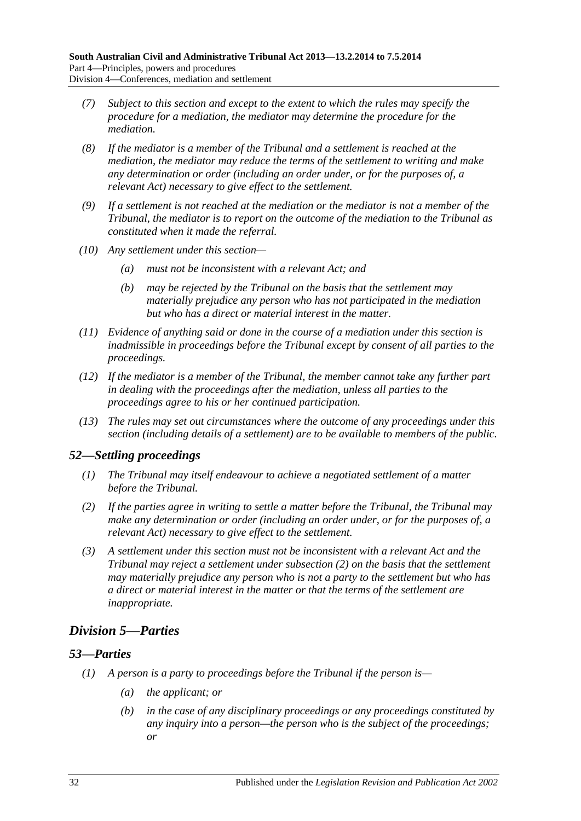- *(7) Subject to this section and except to the extent to which the rules may specify the procedure for a mediation, the mediator may determine the procedure for the mediation.*
- *(8) If the mediator is a member of the Tribunal and a settlement is reached at the mediation, the mediator may reduce the terms of the settlement to writing and make any determination or order (including an order under, or for the purposes of, a relevant Act) necessary to give effect to the settlement.*
- *(9) If a settlement is not reached at the mediation or the mediator is not a member of the Tribunal, the mediator is to report on the outcome of the mediation to the Tribunal as constituted when it made the referral.*
- *(10) Any settlement under this section—*
	- *(a) must not be inconsistent with a relevant Act; and*
	- *(b) may be rejected by the Tribunal on the basis that the settlement may materially prejudice any person who has not participated in the mediation but who has a direct or material interest in the matter.*
- *(11) Evidence of anything said or done in the course of a mediation under this section is inadmissible in proceedings before the Tribunal except by consent of all parties to the proceedings.*
- *(12) If the mediator is a member of the Tribunal, the member cannot take any further part in dealing with the proceedings after the mediation, unless all parties to the proceedings agree to his or her continued participation.*
- *(13) The rules may set out circumstances where the outcome of any proceedings under this section (including details of a settlement) are to be available to members of the public.*

# <span id="page-31-0"></span>*52—Settling proceedings*

- *(1) The Tribunal may itself endeavour to achieve a negotiated settlement of a matter before the Tribunal.*
- <span id="page-31-3"></span>*(2) If the parties agree in writing to settle a matter before the Tribunal, the Tribunal may make any determination or order (including an order under, or for the purposes of, a relevant Act) necessary to give effect to the settlement.*
- *(3) A settlement under this section must not be inconsistent with a relevant Act and the Tribunal may reject a settlement under [subsection](#page-31-3) (2) on the basis that the settlement may materially prejudice any person who is not a party to the settlement but who has a direct or material interest in the matter or that the terms of the settlement are inappropriate.*

# <span id="page-31-1"></span>*Division 5—Parties*

# <span id="page-31-4"></span><span id="page-31-2"></span>*53—Parties*

- *(1) A person is a party to proceedings before the Tribunal if the person is—*
	- *(a) the applicant; or*
	- *(b) in the case of any disciplinary proceedings or any proceedings constituted by any inquiry into a person—the person who is the subject of the proceedings; or*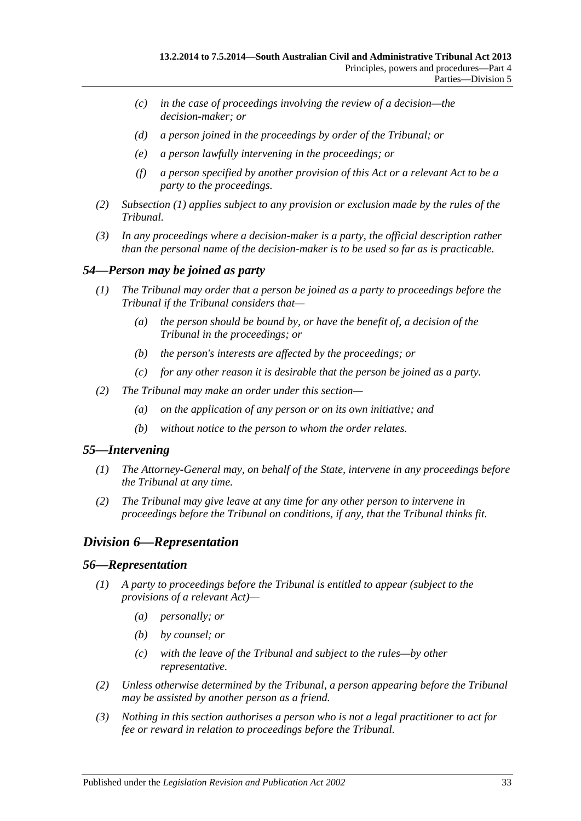- *(c) in the case of proceedings involving the review of a decision—the decision-maker; or*
- *(d) a person joined in the proceedings by order of the Tribunal; or*
- *(e) a person lawfully intervening in the proceedings; or*
- *(f) a person specified by another provision of this Act or a relevant Act to be a party to the proceedings.*
- *(2) [Subsection](#page-31-4) (1) applies subject to any provision or exclusion made by the rules of the Tribunal.*
- *(3) In any proceedings where a decision-maker is a party, the official description rather than the personal name of the decision-maker is to be used so far as is practicable.*

#### <span id="page-32-0"></span>*54—Person may be joined as party*

- *(1) The Tribunal may order that a person be joined as a party to proceedings before the Tribunal if the Tribunal considers that—*
	- *(a) the person should be bound by, or have the benefit of, a decision of the Tribunal in the proceedings; or*
	- *(b) the person's interests are affected by the proceedings; or*
	- *(c) for any other reason it is desirable that the person be joined as a party.*
- *(2) The Tribunal may make an order under this section—*
	- *(a) on the application of any person or on its own initiative; and*
	- *(b) without notice to the person to whom the order relates.*

#### <span id="page-32-1"></span>*55—Intervening*

- *(1) The Attorney-General may, on behalf of the State, intervene in any proceedings before the Tribunal at any time.*
- *(2) The Tribunal may give leave at any time for any other person to intervene in proceedings before the Tribunal on conditions, if any, that the Tribunal thinks fit.*

## <span id="page-32-2"></span>*Division 6—Representation*

#### <span id="page-32-3"></span>*56—Representation*

- *(1) A party to proceedings before the Tribunal is entitled to appear (subject to the provisions of a relevant Act)—*
	- *(a) personally; or*
	- *(b) by counsel; or*
	- *(c) with the leave of the Tribunal and subject to the rules—by other representative.*
- *(2) Unless otherwise determined by the Tribunal, a person appearing before the Tribunal may be assisted by another person as a friend.*
- *(3) Nothing in this section authorises a person who is not a legal practitioner to act for fee or reward in relation to proceedings before the Tribunal.*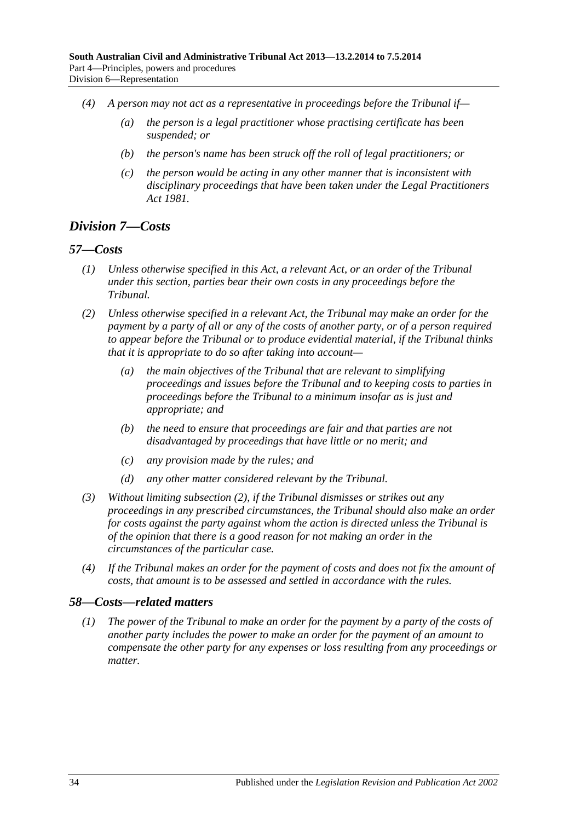- *(4) A person may not act as a representative in proceedings before the Tribunal if—*
	- *(a) the person is a legal practitioner whose practising certificate has been suspended; or*
	- *(b) the person's name has been struck off the roll of legal practitioners; or*
	- *(c) the person would be acting in any other manner that is inconsistent with disciplinary proceedings that have been taken under the [Legal Practitioners](http://www.legislation.sa.gov.au/index.aspx?action=legref&type=act&legtitle=Legal%20Practitioners%20Act%201981)  Act [1981.](http://www.legislation.sa.gov.au/index.aspx?action=legref&type=act&legtitle=Legal%20Practitioners%20Act%201981)*

# <span id="page-33-0"></span>*Division 7—Costs*

### <span id="page-33-1"></span>*57—Costs*

- *(1) Unless otherwise specified in this Act, a relevant Act, or an order of the Tribunal under this section, parties bear their own costs in any proceedings before the Tribunal.*
- <span id="page-33-3"></span>*(2) Unless otherwise specified in a relevant Act, the Tribunal may make an order for the payment by a party of all or any of the costs of another party, or of a person required to appear before the Tribunal or to produce evidential material, if the Tribunal thinks that it is appropriate to do so after taking into account—*
	- *(a) the main objectives of the Tribunal that are relevant to simplifying proceedings and issues before the Tribunal and to keeping costs to parties in proceedings before the Tribunal to a minimum insofar as is just and appropriate; and*
	- *(b) the need to ensure that proceedings are fair and that parties are not disadvantaged by proceedings that have little or no merit; and*
	- *(c) any provision made by the rules; and*
	- *(d) any other matter considered relevant by the Tribunal.*
- *(3) Without limiting [subsection](#page-33-3) (2), if the Tribunal dismisses or strikes out any proceedings in any prescribed circumstances, the Tribunal should also make an order for costs against the party against whom the action is directed unless the Tribunal is of the opinion that there is a good reason for not making an order in the circumstances of the particular case.*
- *(4) If the Tribunal makes an order for the payment of costs and does not fix the amount of costs, that amount is to be assessed and settled in accordance with the rules.*

#### <span id="page-33-2"></span>*58—Costs—related matters*

*(1) The power of the Tribunal to make an order for the payment by a party of the costs of another party includes the power to make an order for the payment of an amount to compensate the other party for any expenses or loss resulting from any proceedings or matter.*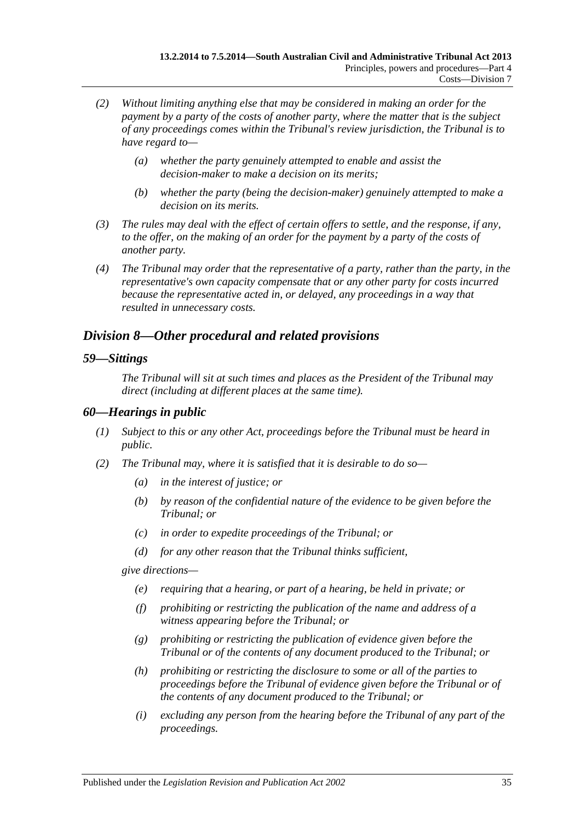- *(2) Without limiting anything else that may be considered in making an order for the payment by a party of the costs of another party, where the matter that is the subject of any proceedings comes within the Tribunal's review jurisdiction, the Tribunal is to have regard to—*
	- *(a) whether the party genuinely attempted to enable and assist the decision-maker to make a decision on its merits;*
	- *(b) whether the party (being the decision-maker) genuinely attempted to make a decision on its merits.*
- *(3) The rules may deal with the effect of certain offers to settle, and the response, if any, to the offer, on the making of an order for the payment by a party of the costs of another party.*
- *(4) The Tribunal may order that the representative of a party, rather than the party, in the representative's own capacity compensate that or any other party for costs incurred because the representative acted in, or delayed, any proceedings in a way that resulted in unnecessary costs.*

# <span id="page-34-0"></span>*Division 8—Other procedural and related provisions*

### <span id="page-34-1"></span>*59—Sittings*

*The Tribunal will sit at such times and places as the President of the Tribunal may direct (including at different places at the same time).*

## <span id="page-34-2"></span>*60—Hearings in public*

- *(1) Subject to this or any other Act, proceedings before the Tribunal must be heard in public.*
- <span id="page-34-3"></span>*(2) The Tribunal may, where it is satisfied that it is desirable to do so—*
	- *(a) in the interest of justice; or*
	- *(b) by reason of the confidential nature of the evidence to be given before the Tribunal; or*
	- *(c) in order to expedite proceedings of the Tribunal; or*
	- *(d) for any other reason that the Tribunal thinks sufficient,*

*give directions—*

- *(e) requiring that a hearing, or part of a hearing, be held in private; or*
- *(f) prohibiting or restricting the publication of the name and address of a witness appearing before the Tribunal; or*
- *(g) prohibiting or restricting the publication of evidence given before the Tribunal or of the contents of any document produced to the Tribunal; or*
- *(h) prohibiting or restricting the disclosure to some or all of the parties to proceedings before the Tribunal of evidence given before the Tribunal or of the contents of any document produced to the Tribunal; or*
- *(i) excluding any person from the hearing before the Tribunal of any part of the proceedings.*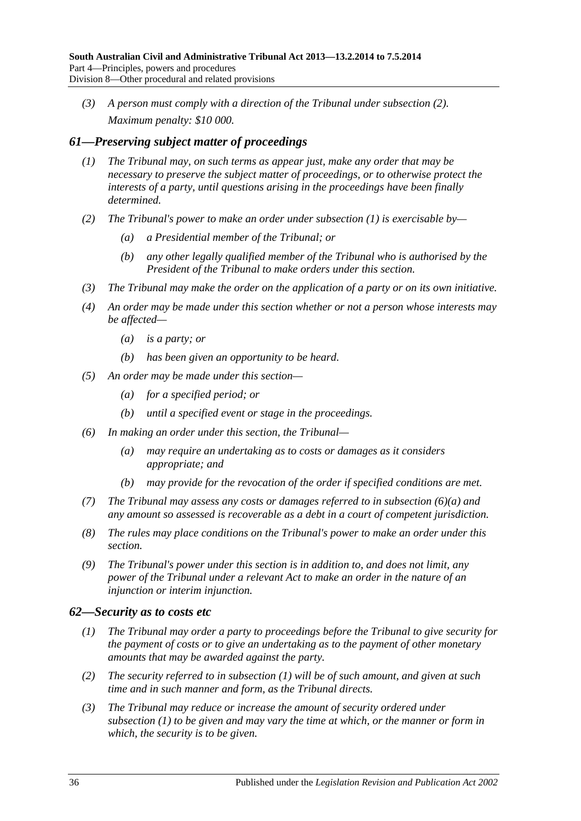*(3) A person must comply with a direction of the Tribunal under [subsection](#page-34-3) (2). Maximum penalty: \$10 000.*

# <span id="page-35-2"></span><span id="page-35-0"></span>*61—Preserving subject matter of proceedings*

- *(1) The Tribunal may, on such terms as appear just, make any order that may be necessary to preserve the subject matter of proceedings, or to otherwise protect the interests of a party, until questions arising in the proceedings have been finally determined.*
- *(2) The Tribunal's power to make an order under [subsection](#page-35-2) (1) is exercisable by—*
	- *(a) a Presidential member of the Tribunal; or*
	- *(b) any other legally qualified member of the Tribunal who is authorised by the President of the Tribunal to make orders under this section.*
- *(3) The Tribunal may make the order on the application of a party or on its own initiative.*
- *(4) An order may be made under this section whether or not a person whose interests may be affected—*
	- *(a) is a party; or*
	- *(b) has been given an opportunity to be heard.*
- *(5) An order may be made under this section—*
	- *(a) for a specified period; or*
	- *(b) until a specified event or stage in the proceedings.*
- <span id="page-35-3"></span>*(6) In making an order under this section, the Tribunal—*
	- *(a) may require an undertaking as to costs or damages as it considers appropriate; and*
	- *(b) may provide for the revocation of the order if specified conditions are met.*
- *(7) The Tribunal may assess any costs or damages referred to in [subsection](#page-35-3) (6)(a) and any amount so assessed is recoverable as a debt in a court of competent jurisdiction.*
- *(8) The rules may place conditions on the Tribunal's power to make an order under this section.*
- *(9) The Tribunal's power under this section is in addition to, and does not limit, any power of the Tribunal under a relevant Act to make an order in the nature of an injunction or interim injunction.*

## <span id="page-35-4"></span><span id="page-35-1"></span>*62—Security as to costs etc*

- *(1) The Tribunal may order a party to proceedings before the Tribunal to give security for the payment of costs or to give an undertaking as to the payment of other monetary amounts that may be awarded against the party.*
- *(2) The security referred to in [subsection](#page-35-4) (1) will be of such amount, and given at such time and in such manner and form, as the Tribunal directs.*
- *(3) The Tribunal may reduce or increase the amount of security ordered under [subsection](#page-35-4) (1) to be given and may vary the time at which, or the manner or form in which, the security is to be given.*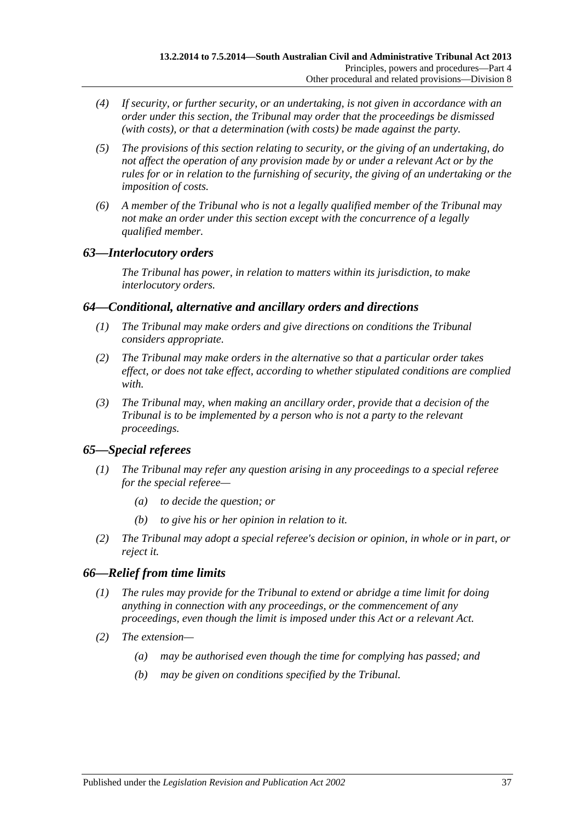- *(4) If security, or further security, or an undertaking, is not given in accordance with an order under this section, the Tribunal may order that the proceedings be dismissed (with costs), or that a determination (with costs) be made against the party.*
- *(5) The provisions of this section relating to security, or the giving of an undertaking, do not affect the operation of any provision made by or under a relevant Act or by the rules for or in relation to the furnishing of security, the giving of an undertaking or the imposition of costs.*
- *(6) A member of the Tribunal who is not a legally qualified member of the Tribunal may not make an order under this section except with the concurrence of a legally qualified member.*

# <span id="page-36-0"></span>*63—Interlocutory orders*

*The Tribunal has power, in relation to matters within its jurisdiction, to make interlocutory orders.*

# <span id="page-36-1"></span>*64—Conditional, alternative and ancillary orders and directions*

- *(1) The Tribunal may make orders and give directions on conditions the Tribunal considers appropriate.*
- *(2) The Tribunal may make orders in the alternative so that a particular order takes effect, or does not take effect, according to whether stipulated conditions are complied with.*
- *(3) The Tribunal may, when making an ancillary order, provide that a decision of the Tribunal is to be implemented by a person who is not a party to the relevant proceedings.*

# <span id="page-36-2"></span>*65—Special referees*

- *(1) The Tribunal may refer any question arising in any proceedings to a special referee for the special referee—*
	- *(a) to decide the question; or*
	- *(b) to give his or her opinion in relation to it.*
- *(2) The Tribunal may adopt a special referee's decision or opinion, in whole or in part, or reject it.*

# <span id="page-36-3"></span>*66—Relief from time limits*

- *(1) The rules may provide for the Tribunal to extend or abridge a time limit for doing anything in connection with any proceedings, or the commencement of any proceedings, even though the limit is imposed under this Act or a relevant Act.*
- *(2) The extension—*
	- *(a) may be authorised even though the time for complying has passed; and*
	- *(b) may be given on conditions specified by the Tribunal.*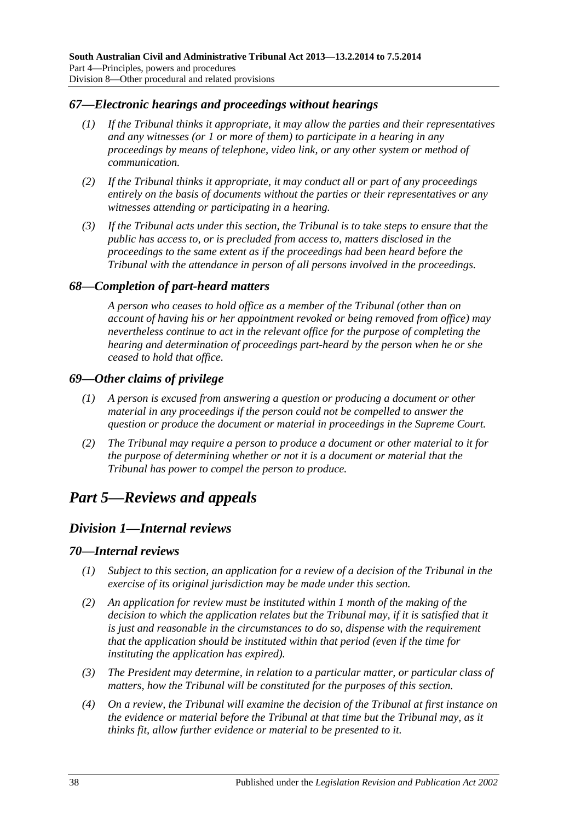## <span id="page-37-0"></span>*67—Electronic hearings and proceedings without hearings*

- *(1) If the Tribunal thinks it appropriate, it may allow the parties and their representatives and any witnesses (or 1 or more of them) to participate in a hearing in any proceedings by means of telephone, video link, or any other system or method of communication.*
- *(2) If the Tribunal thinks it appropriate, it may conduct all or part of any proceedings entirely on the basis of documents without the parties or their representatives or any witnesses attending or participating in a hearing.*
- *(3) If the Tribunal acts under this section, the Tribunal is to take steps to ensure that the public has access to, or is precluded from access to, matters disclosed in the proceedings to the same extent as if the proceedings had been heard before the Tribunal with the attendance in person of all persons involved in the proceedings.*

### <span id="page-37-1"></span>*68—Completion of part-heard matters*

*A person who ceases to hold office as a member of the Tribunal (other than on account of having his or her appointment revoked or being removed from office) may nevertheless continue to act in the relevant office for the purpose of completing the hearing and determination of proceedings part-heard by the person when he or she ceased to hold that office.*

### <span id="page-37-2"></span>*69—Other claims of privilege*

- *(1) A person is excused from answering a question or producing a document or other material in any proceedings if the person could not be compelled to answer the question or produce the document or material in proceedings in the Supreme Court.*
- *(2) The Tribunal may require a person to produce a document or other material to it for the purpose of determining whether or not it is a document or material that the Tribunal has power to compel the person to produce.*

# <span id="page-37-4"></span><span id="page-37-3"></span>*Part 5—Reviews and appeals*

# *Division 1—Internal reviews*

#### <span id="page-37-5"></span>*70—Internal reviews*

- *(1) Subject to this section, an application for a review of a decision of the Tribunal in the exercise of its original jurisdiction may be made under this section.*
- *(2) An application for review must be instituted within 1 month of the making of the decision to which the application relates but the Tribunal may, if it is satisfied that it is just and reasonable in the circumstances to do so, dispense with the requirement that the application should be instituted within that period (even if the time for instituting the application has expired).*
- *(3) The President may determine, in relation to a particular matter, or particular class of matters, how the Tribunal will be constituted for the purposes of this section.*
- *(4) On a review, the Tribunal will examine the decision of the Tribunal at first instance on the evidence or material before the Tribunal at that time but the Tribunal may, as it thinks fit, allow further evidence or material to be presented to it.*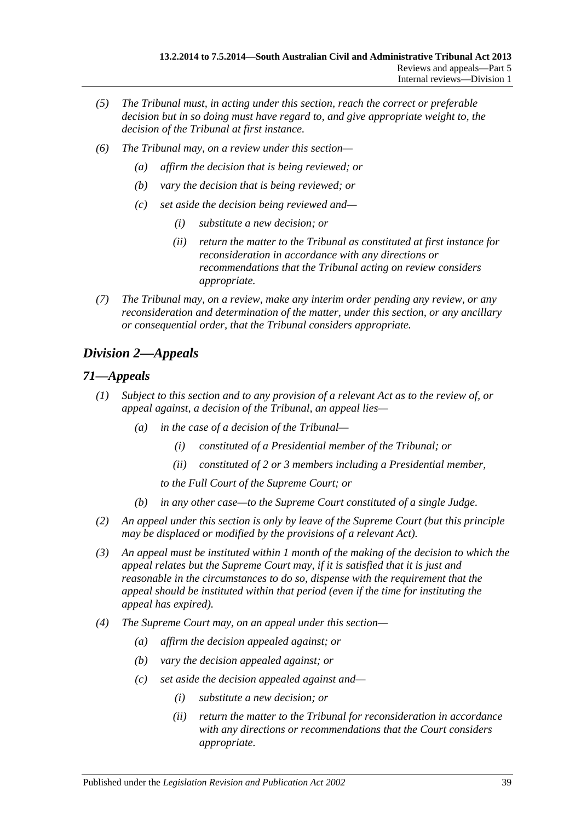- *(5) The Tribunal must, in acting under this section, reach the correct or preferable decision but in so doing must have regard to, and give appropriate weight to, the decision of the Tribunal at first instance.*
- *(6) The Tribunal may, on a review under this section—*
	- *(a) affirm the decision that is being reviewed; or*
	- *(b) vary the decision that is being reviewed; or*
	- *(c) set aside the decision being reviewed and—*
		- *(i) substitute a new decision; or*
		- *(ii) return the matter to the Tribunal as constituted at first instance for reconsideration in accordance with any directions or recommendations that the Tribunal acting on review considers appropriate.*
- *(7) The Tribunal may, on a review, make any interim order pending any review, or any reconsideration and determination of the matter, under this section, or any ancillary or consequential order, that the Tribunal considers appropriate.*

# <span id="page-38-0"></span>*Division 2—Appeals*

# <span id="page-38-1"></span>*71—Appeals*

- *(1) Subject to this section and to any provision of a relevant Act as to the review of, or appeal against, a decision of the Tribunal, an appeal lies—*
	- *(a) in the case of a decision of the Tribunal—*
		- *(i) constituted of a Presidential member of the Tribunal; or*
		- *(ii) constituted of 2 or 3 members including a Presidential member,*
		- *to the Full Court of the Supreme Court; or*
	- *(b) in any other case—to the Supreme Court constituted of a single Judge.*
- *(2) An appeal under this section is only by leave of the Supreme Court (but this principle may be displaced or modified by the provisions of a relevant Act).*
- *(3) An appeal must be instituted within 1 month of the making of the decision to which the appeal relates but the Supreme Court may, if it is satisfied that it is just and reasonable in the circumstances to do so, dispense with the requirement that the appeal should be instituted within that period (even if the time for instituting the appeal has expired).*
- *(4) The Supreme Court may, on an appeal under this section—*
	- *(a) affirm the decision appealed against; or*
	- *(b) vary the decision appealed against; or*
	- *(c) set aside the decision appealed against and—*
		- *(i) substitute a new decision; or*
		- *(ii) return the matter to the Tribunal for reconsideration in accordance with any directions or recommendations that the Court considers appropriate.*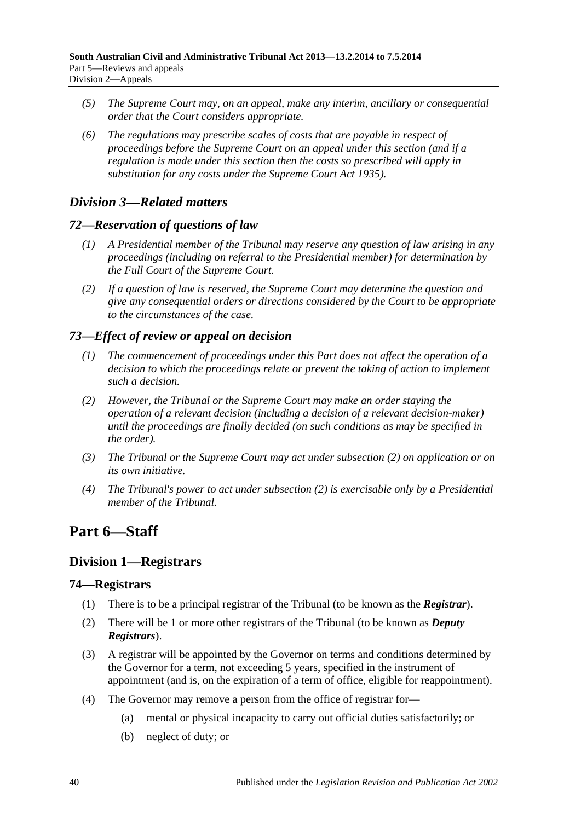- *(5) The Supreme Court may, on an appeal, make any interim, ancillary or consequential order that the Court considers appropriate.*
- *(6) The regulations may prescribe scales of costs that are payable in respect of proceedings before the Supreme Court on an appeal under this section (and if a regulation is made under this section then the costs so prescribed will apply in substitution for any costs under the [Supreme Court Act](http://www.legislation.sa.gov.au/index.aspx?action=legref&type=act&legtitle=Supreme%20Court%20Act%201935) 1935).*

# <span id="page-39-0"></span>*Division 3—Related matters*

# <span id="page-39-1"></span>*72—Reservation of questions of law*

- *(1) A Presidential member of the Tribunal may reserve any question of law arising in any proceedings (including on referral to the Presidential member) for determination by the Full Court of the Supreme Court.*
- *(2) If a question of law is reserved, the Supreme Court may determine the question and give any consequential orders or directions considered by the Court to be appropriate to the circumstances of the case.*

# <span id="page-39-2"></span>*73—Effect of review or appeal on decision*

- *(1) The commencement of proceedings under this Part does not affect the operation of a decision to which the proceedings relate or prevent the taking of action to implement such a decision.*
- <span id="page-39-6"></span>*(2) However, the Tribunal or the Supreme Court may make an order staying the operation of a relevant decision (including a decision of a relevant decision-maker) until the proceedings are finally decided (on such conditions as may be specified in the order).*
- *(3) The Tribunal or the Supreme Court may act under [subsection](#page-39-6) (2) on application or on its own initiative.*
- *(4) The Tribunal's power to act under [subsection](#page-39-6) (2) is exercisable only by a Presidential member of the Tribunal.*

# <span id="page-39-3"></span>**Part 6—Staff**

# <span id="page-39-4"></span>**Division 1—Registrars**

## <span id="page-39-5"></span>**74—Registrars**

- (1) There is to be a principal registrar of the Tribunal (to be known as the *Registrar*).
- (2) There will be 1 or more other registrars of the Tribunal (to be known as *Deputy Registrars*).
- (3) A registrar will be appointed by the Governor on terms and conditions determined by the Governor for a term, not exceeding 5 years, specified in the instrument of appointment (and is, on the expiration of a term of office, eligible for reappointment).
- <span id="page-39-7"></span>(4) The Governor may remove a person from the office of registrar for—
	- (a) mental or physical incapacity to carry out official duties satisfactorily; or
	- (b) neglect of duty; or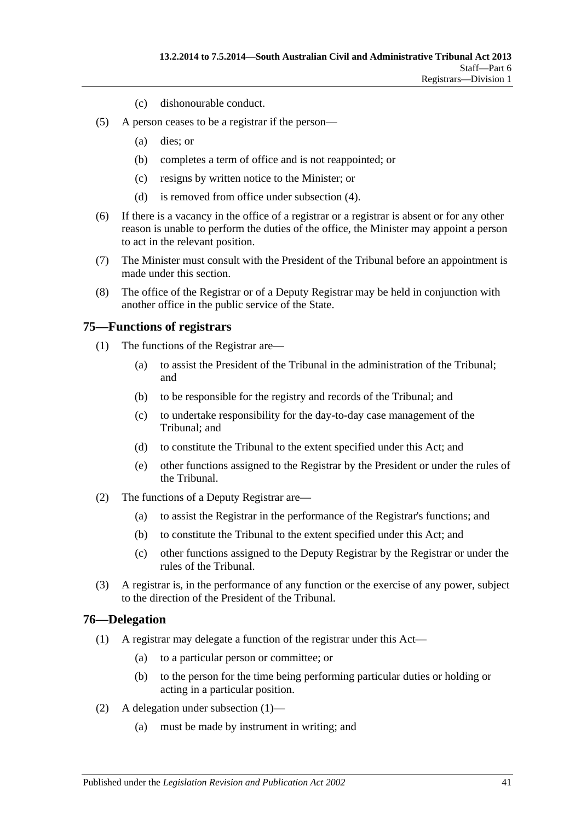- (c) dishonourable conduct.
- (5) A person ceases to be a registrar if the person—
	- (a) dies; or
	- (b) completes a term of office and is not reappointed; or
	- (c) resigns by written notice to the Minister; or
	- (d) is removed from office under [subsection](#page-39-7) (4).
- (6) If there is a vacancy in the office of a registrar or a registrar is absent or for any other reason is unable to perform the duties of the office, the Minister may appoint a person to act in the relevant position.
- (7) The Minister must consult with the President of the Tribunal before an appointment is made under this section.
- (8) The office of the Registrar or of a Deputy Registrar may be held in conjunction with another office in the public service of the State.

### <span id="page-40-0"></span>**75—Functions of registrars**

- (1) The functions of the Registrar are—
	- (a) to assist the President of the Tribunal in the administration of the Tribunal; and
	- (b) to be responsible for the registry and records of the Tribunal; and
	- (c) to undertake responsibility for the day-to-day case management of the Tribunal; and
	- (d) to constitute the Tribunal to the extent specified under this Act; and
	- (e) other functions assigned to the Registrar by the President or under the rules of the Tribunal.
- (2) The functions of a Deputy Registrar are—
	- (a) to assist the Registrar in the performance of the Registrar's functions; and
	- (b) to constitute the Tribunal to the extent specified under this Act; and
	- (c) other functions assigned to the Deputy Registrar by the Registrar or under the rules of the Tribunal.
- (3) A registrar is, in the performance of any function or the exercise of any power, subject to the direction of the President of the Tribunal.

#### <span id="page-40-2"></span><span id="page-40-1"></span>**76—Delegation**

- (1) A registrar may delegate a function of the registrar under this Act—
	- (a) to a particular person or committee; or
	- (b) to the person for the time being performing particular duties or holding or acting in a particular position.
- (2) A delegation under [subsection](#page-40-2) (1)—
	- (a) must be made by instrument in writing; and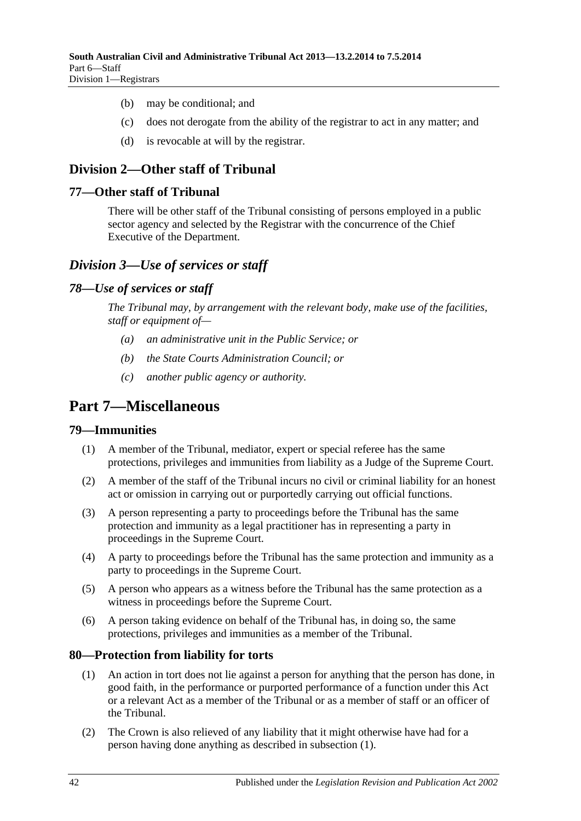- (b) may be conditional; and
- (c) does not derogate from the ability of the registrar to act in any matter; and
- (d) is revocable at will by the registrar.

# <span id="page-41-0"></span>**Division 2—Other staff of Tribunal**

## <span id="page-41-1"></span>**77—Other staff of Tribunal**

There will be other staff of the Tribunal consisting of persons employed in a public sector agency and selected by the Registrar with the concurrence of the Chief Executive of the Department.

# <span id="page-41-2"></span>*Division 3—Use of services or staff*

### <span id="page-41-3"></span>*78—Use of services or staff*

*The Tribunal may, by arrangement with the relevant body, make use of the facilities, staff or equipment of—*

- *(a) an administrative unit in the Public Service; or*
- *(b) the State Courts Administration Council; or*
- *(c) another public agency or authority.*

# <span id="page-41-4"></span>**Part 7—Miscellaneous**

#### <span id="page-41-5"></span>**79—Immunities**

- (1) A member of the Tribunal, mediator, expert or special referee has the same protections, privileges and immunities from liability as a Judge of the Supreme Court.
- (2) A member of the staff of the Tribunal incurs no civil or criminal liability for an honest act or omission in carrying out or purportedly carrying out official functions.
- (3) A person representing a party to proceedings before the Tribunal has the same protection and immunity as a legal practitioner has in representing a party in proceedings in the Supreme Court.
- (4) A party to proceedings before the Tribunal has the same protection and immunity as a party to proceedings in the Supreme Court.
- (5) A person who appears as a witness before the Tribunal has the same protection as a witness in proceedings before the Supreme Court.
- (6) A person taking evidence on behalf of the Tribunal has, in doing so, the same protections, privileges and immunities as a member of the Tribunal.

## <span id="page-41-7"></span><span id="page-41-6"></span>**80—Protection from liability for torts**

- (1) An action in tort does not lie against a person for anything that the person has done, in good faith, in the performance or purported performance of a function under this Act or a relevant Act as a member of the Tribunal or as a member of staff or an officer of the Tribunal.
- (2) The Crown is also relieved of any liability that it might otherwise have had for a person having done anything as described in [subsection](#page-41-7) (1).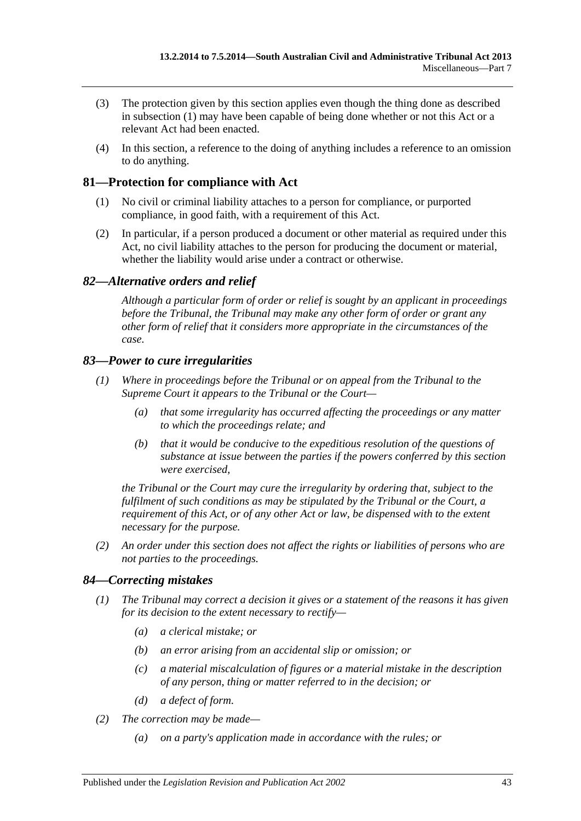- (3) The protection given by this section applies even though the thing done as described in [subsection](#page-41-7) (1) may have been capable of being done whether or not this Act or a relevant Act had been enacted.
- (4) In this section, a reference to the doing of anything includes a reference to an omission to do anything.

# <span id="page-42-0"></span>**81—Protection for compliance with Act**

- (1) No civil or criminal liability attaches to a person for compliance, or purported compliance, in good faith, with a requirement of this Act.
- (2) In particular, if a person produced a document or other material as required under this Act, no civil liability attaches to the person for producing the document or material, whether the liability would arise under a contract or otherwise.

# <span id="page-42-1"></span>*82—Alternative orders and relief*

*Although a particular form of order or relief is sought by an applicant in proceedings before the Tribunal, the Tribunal may make any other form of order or grant any other form of relief that it considers more appropriate in the circumstances of the case.*

## <span id="page-42-2"></span>*83—Power to cure irregularities*

- *(1) Where in proceedings before the Tribunal or on appeal from the Tribunal to the Supreme Court it appears to the Tribunal or the Court—*
	- *(a) that some irregularity has occurred affecting the proceedings or any matter to which the proceedings relate; and*
	- *(b) that it would be conducive to the expeditious resolution of the questions of substance at issue between the parties if the powers conferred by this section were exercised,*

*the Tribunal or the Court may cure the irregularity by ordering that, subject to the fulfilment of such conditions as may be stipulated by the Tribunal or the Court, a requirement of this Act, or of any other Act or law, be dispensed with to the extent necessary for the purpose.*

*(2) An order under this section does not affect the rights or liabilities of persons who are not parties to the proceedings.*

## <span id="page-42-3"></span>*84—Correcting mistakes*

- *(1) The Tribunal may correct a decision it gives or a statement of the reasons it has given for its decision to the extent necessary to rectify—*
	- *(a) a clerical mistake; or*
	- *(b) an error arising from an accidental slip or omission; or*
	- *(c) a material miscalculation of figures or a material mistake in the description of any person, thing or matter referred to in the decision; or*
	- *(d) a defect of form.*
- *(2) The correction may be made—*
	- *(a) on a party's application made in accordance with the rules; or*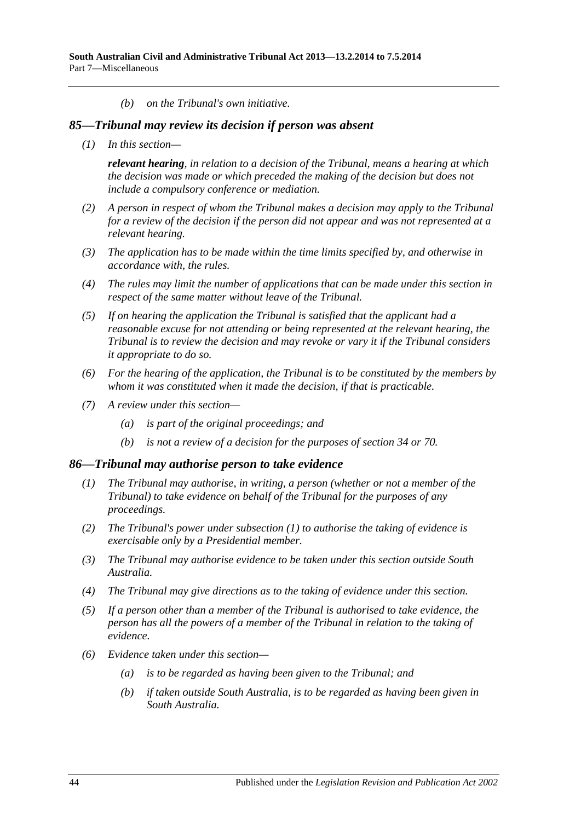*(b) on the Tribunal's own initiative.*

#### <span id="page-43-0"></span>*85—Tribunal may review its decision if person was absent*

*(1) In this section—*

*relevant hearing, in relation to a decision of the Tribunal, means a hearing at which the decision was made or which preceded the making of the decision but does not include a compulsory conference or mediation.*

- *(2) A person in respect of whom the Tribunal makes a decision may apply to the Tribunal for a review of the decision if the person did not appear and was not represented at a relevant hearing.*
- *(3) The application has to be made within the time limits specified by, and otherwise in accordance with, the rules.*
- *(4) The rules may limit the number of applications that can be made under this section in respect of the same matter without leave of the Tribunal.*
- *(5) If on hearing the application the Tribunal is satisfied that the applicant had a reasonable excuse for not attending or being represented at the relevant hearing, the Tribunal is to review the decision and may revoke or vary it if the Tribunal considers it appropriate to do so.*
- *(6) For the hearing of the application, the Tribunal is to be constituted by the members by whom it was constituted when it made the decision, if that is practicable.*
- *(7) A review under this section—*
	- *(a) is part of the original proceedings; and*
	- *(b) is not a review of a decision for the purposes of [section](#page-21-3) 34 or [70.](#page-37-5)*

#### <span id="page-43-2"></span><span id="page-43-1"></span>*86—Tribunal may authorise person to take evidence*

- *(1) The Tribunal may authorise, in writing, a person (whether or not a member of the Tribunal) to take evidence on behalf of the Tribunal for the purposes of any proceedings.*
- *(2) The Tribunal's power under [subsection](#page-43-2) (1) to authorise the taking of evidence is exercisable only by a Presidential member.*
- *(3) The Tribunal may authorise evidence to be taken under this section outside South Australia.*
- *(4) The Tribunal may give directions as to the taking of evidence under this section.*
- *(5) If a person other than a member of the Tribunal is authorised to take evidence, the person has all the powers of a member of the Tribunal in relation to the taking of evidence.*
- *(6) Evidence taken under this section—*
	- *(a) is to be regarded as having been given to the Tribunal; and*
	- *(b) if taken outside South Australia, is to be regarded as having been given in South Australia.*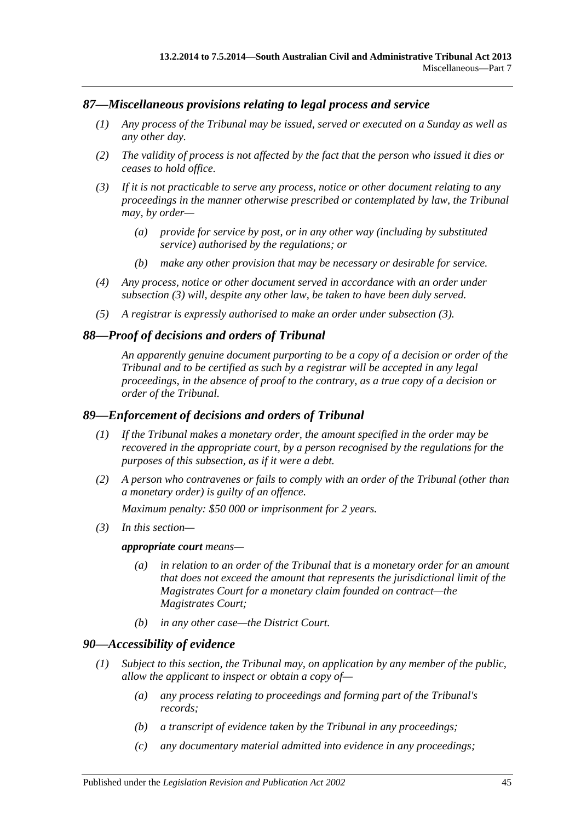## <span id="page-44-0"></span>*87—Miscellaneous provisions relating to legal process and service*

- *(1) Any process of the Tribunal may be issued, served or executed on a Sunday as well as any other day.*
- *(2) The validity of process is not affected by the fact that the person who issued it dies or ceases to hold office.*
- <span id="page-44-4"></span>*(3) If it is not practicable to serve any process, notice or other document relating to any proceedings in the manner otherwise prescribed or contemplated by law, the Tribunal may, by order—*
	- *(a) provide for service by post, or in any other way (including by substituted service) authorised by the regulations; or*
	- *(b) make any other provision that may be necessary or desirable for service.*
- *(4) Any process, notice or other document served in accordance with an order under [subsection](#page-44-4) (3) will, despite any other law, be taken to have been duly served.*
- *(5) A registrar is expressly authorised to make an order under [subsection](#page-44-4) (3).*

### <span id="page-44-1"></span>*88—Proof of decisions and orders of Tribunal*

*An apparently genuine document purporting to be a copy of a decision or order of the Tribunal and to be certified as such by a registrar will be accepted in any legal proceedings, in the absence of proof to the contrary, as a true copy of a decision or order of the Tribunal.*

#### <span id="page-44-2"></span>*89—Enforcement of decisions and orders of Tribunal*

- *(1) If the Tribunal makes a monetary order, the amount specified in the order may be recovered in the appropriate court, by a person recognised by the regulations for the purposes of this subsection, as if it were a debt.*
- *(2) A person who contravenes or fails to comply with an order of the Tribunal (other than a monetary order) is guilty of an offence.*

*Maximum penalty: \$50 000 or imprisonment for 2 years.*

*(3) In this section—*

#### *appropriate court means—*

- *(a) in relation to an order of the Tribunal that is a monetary order for an amount that does not exceed the amount that represents the jurisdictional limit of the Magistrates Court for a monetary claim founded on contract—the Magistrates Court;*
- *(b) in any other case—the District Court.*

#### <span id="page-44-5"></span><span id="page-44-3"></span>*90—Accessibility of evidence*

- *(1) Subject to this section, the Tribunal may, on application by any member of the public, allow the applicant to inspect or obtain a copy of—*
	- *(a) any process relating to proceedings and forming part of the Tribunal's records;*
	- *(b) a transcript of evidence taken by the Tribunal in any proceedings;*
	- *(c) any documentary material admitted into evidence in any proceedings;*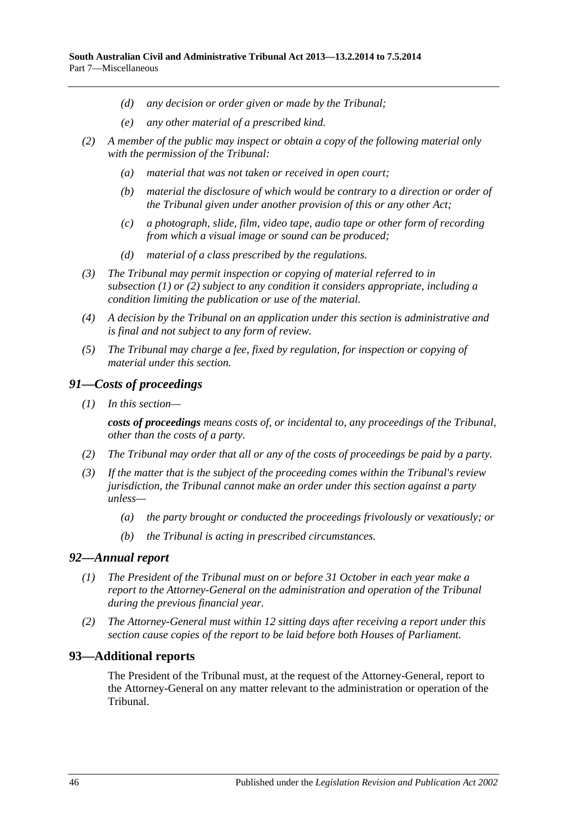- *(d) any decision or order given or made by the Tribunal;*
- *(e) any other material of a prescribed kind.*
- <span id="page-45-3"></span>*(2) A member of the public may inspect or obtain a copy of the following material only with the permission of the Tribunal:*
	- *(a) material that was not taken or received in open court;*
	- *(b) material the disclosure of which would be contrary to a direction or order of the Tribunal given under another provision of this or any other Act;*
	- *(c) a photograph, slide, film, video tape, audio tape or other form of recording from which a visual image or sound can be produced;*
	- *(d) material of a class prescribed by the regulations.*
- *(3) The Tribunal may permit inspection or copying of material referred to in [subsection](#page-44-5) (1) or [\(2\)](#page-45-3) subject to any condition it considers appropriate, including a condition limiting the publication or use of the material.*
- *(4) A decision by the Tribunal on an application under this section is administrative and is final and not subject to any form of review.*
- *(5) The Tribunal may charge a fee, fixed by regulation, for inspection or copying of material under this section.*

### <span id="page-45-0"></span>*91—Costs of proceedings*

*(1) In this section—*

*costs of proceedings means costs of, or incidental to, any proceedings of the Tribunal, other than the costs of a party.*

- *(2) The Tribunal may order that all or any of the costs of proceedings be paid by a party.*
- *(3) If the matter that is the subject of the proceeding comes within the Tribunal's review jurisdiction, the Tribunal cannot make an order under this section against a party unless—*
	- *(a) the party brought or conducted the proceedings frivolously or vexatiously; or*
	- *(b) the Tribunal is acting in prescribed circumstances.*

#### <span id="page-45-1"></span>*92—Annual report*

- *(1) The President of the Tribunal must on or before 31 October in each year make a report to the Attorney-General on the administration and operation of the Tribunal during the previous financial year.*
- *(2) The Attorney-General must within 12 sitting days after receiving a report under this section cause copies of the report to be laid before both Houses of Parliament.*

## <span id="page-45-2"></span>**93—Additional reports**

The President of the Tribunal must, at the request of the Attorney-General, report to the Attorney-General on any matter relevant to the administration or operation of the Tribunal.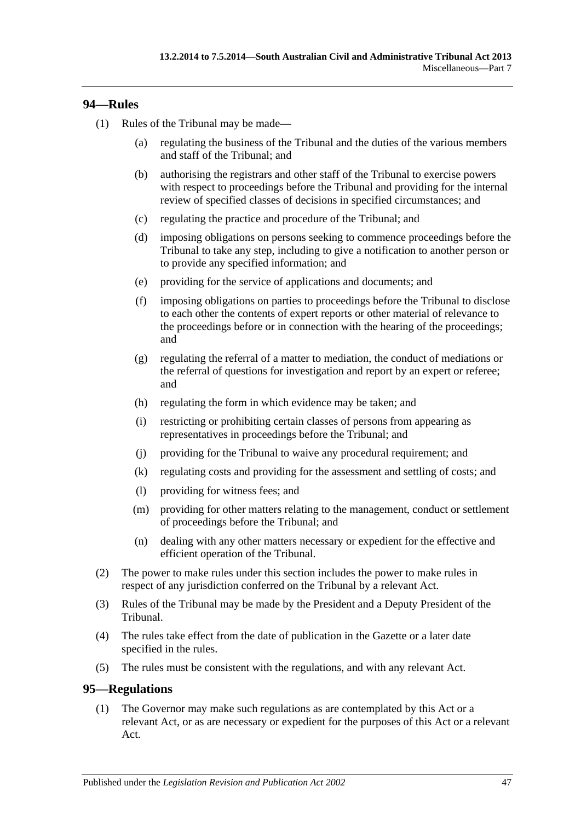## <span id="page-46-0"></span>**94—Rules**

- (1) Rules of the Tribunal may be made—
	- (a) regulating the business of the Tribunal and the duties of the various members and staff of the Tribunal; and
	- (b) authorising the registrars and other staff of the Tribunal to exercise powers with respect to proceedings before the Tribunal and providing for the internal review of specified classes of decisions in specified circumstances; and
	- (c) regulating the practice and procedure of the Tribunal; and
	- (d) imposing obligations on persons seeking to commence proceedings before the Tribunal to take any step, including to give a notification to another person or to provide any specified information; and
	- (e) providing for the service of applications and documents; and
	- (f) imposing obligations on parties to proceedings before the Tribunal to disclose to each other the contents of expert reports or other material of relevance to the proceedings before or in connection with the hearing of the proceedings; and
	- (g) regulating the referral of a matter to mediation, the conduct of mediations or the referral of questions for investigation and report by an expert or referee; and
	- (h) regulating the form in which evidence may be taken; and
	- (i) restricting or prohibiting certain classes of persons from appearing as representatives in proceedings before the Tribunal; and
	- (j) providing for the Tribunal to waive any procedural requirement; and
	- (k) regulating costs and providing for the assessment and settling of costs; and
	- (l) providing for witness fees; and
	- (m) providing for other matters relating to the management, conduct or settlement of proceedings before the Tribunal; and
	- (n) dealing with any other matters necessary or expedient for the effective and efficient operation of the Tribunal.
- (2) The power to make rules under this section includes the power to make rules in respect of any jurisdiction conferred on the Tribunal by a relevant Act.
- (3) Rules of the Tribunal may be made by the President and a Deputy President of the Tribunal.
- (4) The rules take effect from the date of publication in the Gazette or a later date specified in the rules.
- (5) The rules must be consistent with the regulations, and with any relevant Act.

## <span id="page-46-2"></span><span id="page-46-1"></span>**95—Regulations**

(1) The Governor may make such regulations as are contemplated by this Act or a relevant Act, or as are necessary or expedient for the purposes of this Act or a relevant Act.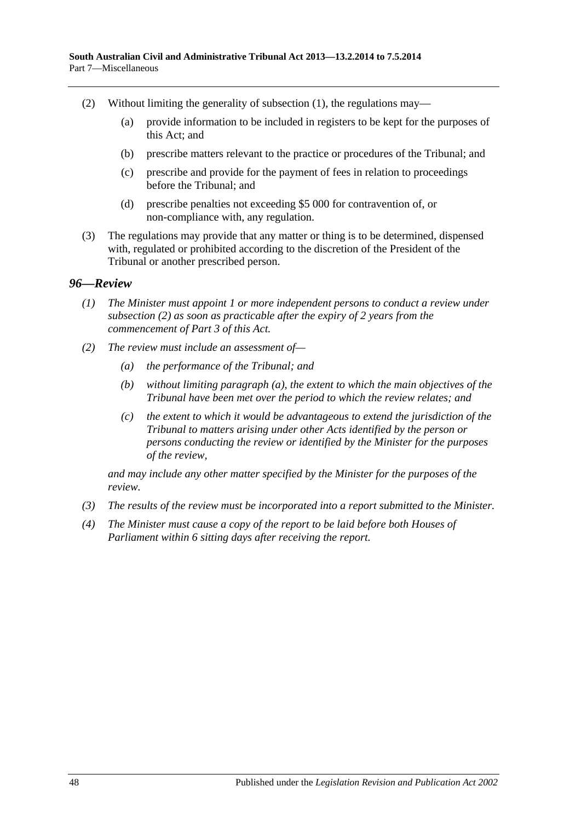- (2) Without limiting the generality of [subsection](#page-46-2) (1), the regulations may—
	- (a) provide information to be included in registers to be kept for the purposes of this Act; and
	- (b) prescribe matters relevant to the practice or procedures of the Tribunal; and
	- (c) prescribe and provide for the payment of fees in relation to proceedings before the Tribunal; and
	- (d) prescribe penalties not exceeding \$5 000 for contravention of, or non-compliance with, any regulation.
- (3) The regulations may provide that any matter or thing is to be determined, dispensed with, regulated or prohibited according to the discretion of the President of the Tribunal or another prescribed person.

### <span id="page-47-0"></span>*96—Review*

- *(1) The Minister must appoint 1 or more independent persons to conduct a review under [subsection](#page-47-1) (2) as soon as practicable after the expiry of 2 years from the commencement of [Part](#page-20-1) 3 of this Act.*
- <span id="page-47-2"></span><span id="page-47-1"></span>*(2) The review must include an assessment of—*
	- *(a) the performance of the Tribunal; and*
	- *(b) without limiting [paragraph](#page-47-2) (a), the extent to which the main objectives of the Tribunal have been met over the period to which the review relates; and*
	- *(c) the extent to which it would be advantageous to extend the jurisdiction of the Tribunal to matters arising under other Acts identified by the person or persons conducting the review or identified by the Minister for the purposes of the review,*

*and may include any other matter specified by the Minister for the purposes of the review.*

- *(3) The results of the review must be incorporated into a report submitted to the Minister.*
- *(4) The Minister must cause a copy of the report to be laid before both Houses of Parliament within 6 sitting days after receiving the report.*